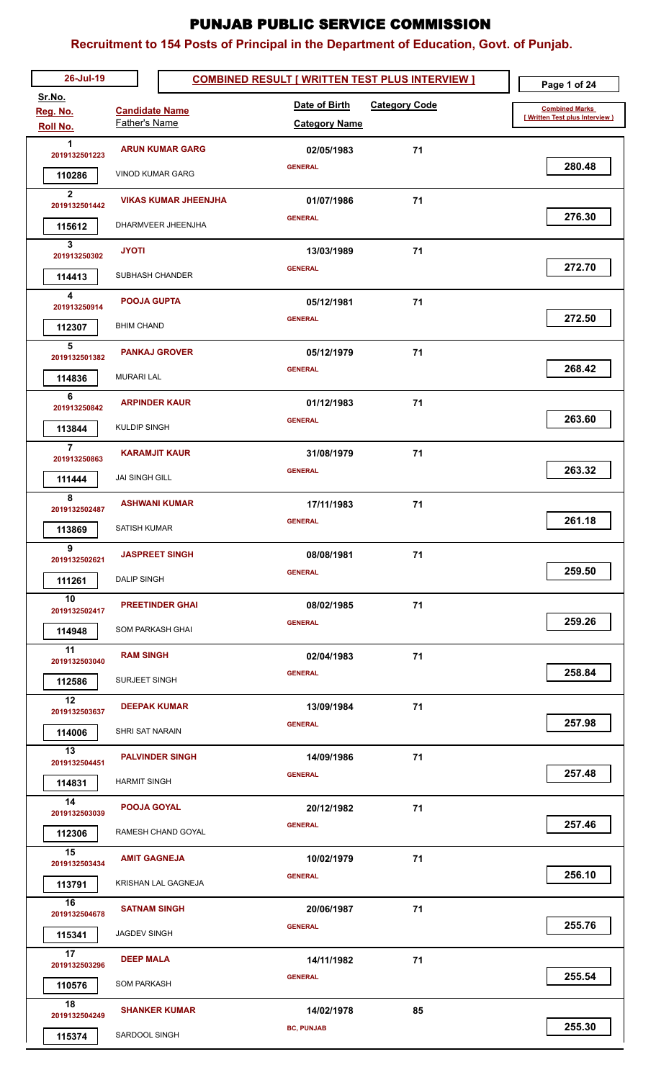| 26-Jul-19               |                             | <b>COMBINED RESULT [ WRITTEN TEST PLUS INTERVIEW ]</b> |    | Page 1 of 24                    |
|-------------------------|-----------------------------|--------------------------------------------------------|----|---------------------------------|
| Sr.No.<br>Reg. No.      | <b>Candidate Name</b>       | Date of Birth<br><b>Category Code</b>                  |    | <b>Combined Marks</b>           |
| Roll No.                | Father's Name               | <b>Category Name</b>                                   |    | [ Written Test plus Interview ) |
| 1                       | <b>ARUN KUMAR GARG</b>      | 02/05/1983                                             | 71 |                                 |
| 2019132501223           | <b>VINOD KUMAR GARG</b>     | <b>GENERAL</b>                                         |    | 280.48                          |
| 110286<br>$\mathbf{2}$  |                             |                                                        |    |                                 |
| 2019132501442           | <b>VIKAS KUMAR JHEENJHA</b> | 01/07/1986                                             | 71 | 276.30                          |
| 115612                  | <b>DHARMVEER JHEENJHA</b>   | <b>GENERAL</b>                                         |    |                                 |
| 3<br>201913250302       | <b>JYOTI</b>                | 13/03/1989                                             | 71 |                                 |
| 114413                  | SUBHASH CHANDER             | <b>GENERAL</b>                                         |    | 272.70                          |
| 4                       | <b>POOJA GUPTA</b>          | 05/12/1981                                             | 71 |                                 |
| 201913250914            |                             | <b>GENERAL</b>                                         |    | 272.50                          |
| 112307<br>5             | <b>BHIM CHAND</b>           |                                                        |    |                                 |
| 2019132501382           | <b>PANKAJ GROVER</b>        | 05/12/1979                                             | 71 |                                 |
| 114836                  | <b>MURARI LAL</b>           | <b>GENERAL</b>                                         |    | 268.42                          |
| 6<br>201913250842       | <b>ARPINDER KAUR</b>        | 01/12/1983                                             | 71 |                                 |
| 113844                  | <b>KULDIP SINGH</b>         | <b>GENERAL</b>                                         |    | 263.60                          |
| $\overline{7}$          |                             |                                                        |    |                                 |
| 201913250863            | <b>KARAMJIT KAUR</b>        | 31/08/1979<br><b>GENERAL</b>                           | 71 | 263.32                          |
| 111444                  | <b>JAI SINGH GILL</b>       |                                                        |    |                                 |
| 8<br>2019132502487      | <b>ASHWANI KUMAR</b>        | 17/11/1983                                             | 71 |                                 |
| 113869                  | <b>SATISH KUMAR</b>         | <b>GENERAL</b>                                         |    | 261.18                          |
| 9                       | <b>JASPREET SINGH</b>       | 08/08/1981                                             | 71 |                                 |
| 2019132502621<br>111261 | <b>DALIP SINGH</b>          | <b>GENERAL</b>                                         |    | 259.50                          |
| 10                      |                             |                                                        |    |                                 |
| 2019132502417           | <b>PREETINDER GHAI</b>      | 08/02/1985<br><b>GENERAL</b>                           | 71 | 259.26                          |
| 114948                  | SOM PARKASH GHAI            |                                                        |    |                                 |
| 11<br>2019132503040     | <b>RAM SINGH</b>            | 02/04/1983                                             | 71 |                                 |
| 112586                  | SURJEET SINGH               | <b>GENERAL</b>                                         |    | 258.84                          |
| 12                      | <b>DEEPAK KUMAR</b>         | 13/09/1984                                             | 71 |                                 |
| 2019132503637           |                             | <b>GENERAL</b>                                         |    | 257.98                          |
| 114006<br>13            | SHRI SAT NARAIN             |                                                        |    |                                 |
| 2019132504451           | <b>PALVINDER SINGH</b>      | 14/09/1986                                             | 71 | 257.48                          |
| 114831                  | <b>HARMIT SINGH</b>         | <b>GENERAL</b>                                         |    |                                 |
| 14<br>2019132503039     | <b>POOJA GOYAL</b>          | 20/12/1982                                             | 71 |                                 |
| 112306                  | RAMESH CHAND GOYAL          | <b>GENERAL</b>                                         |    | 257.46                          |
| 15                      | <b>AMIT GAGNEJA</b>         | 10/02/1979                                             | 71 |                                 |
| 2019132503434           |                             | <b>GENERAL</b>                                         |    | 256.10                          |
| 113791                  | KRISHAN LAL GAGNEJA         |                                                        |    |                                 |
| 16<br>2019132504678     | <b>SATNAM SINGH</b>         | 20/06/1987                                             | 71 |                                 |
| 115341                  | <b>JAGDEV SINGH</b>         | <b>GENERAL</b>                                         |    | 255.76                          |
| 17<br>2019132503296     | <b>DEEP MALA</b>            | 14/11/1982                                             | 71 |                                 |
| 110576                  | <b>SOM PARKASH</b>          | <b>GENERAL</b>                                         |    | 255.54                          |
| 18                      |                             |                                                        |    |                                 |
| 2019132504249           | <b>SHANKER KUMAR</b>        | 14/02/1978<br><b>BC, PUNJAB</b>                        | 85 | 255.30                          |
| 115374                  | SARDOOL SINGH               |                                                        |    |                                 |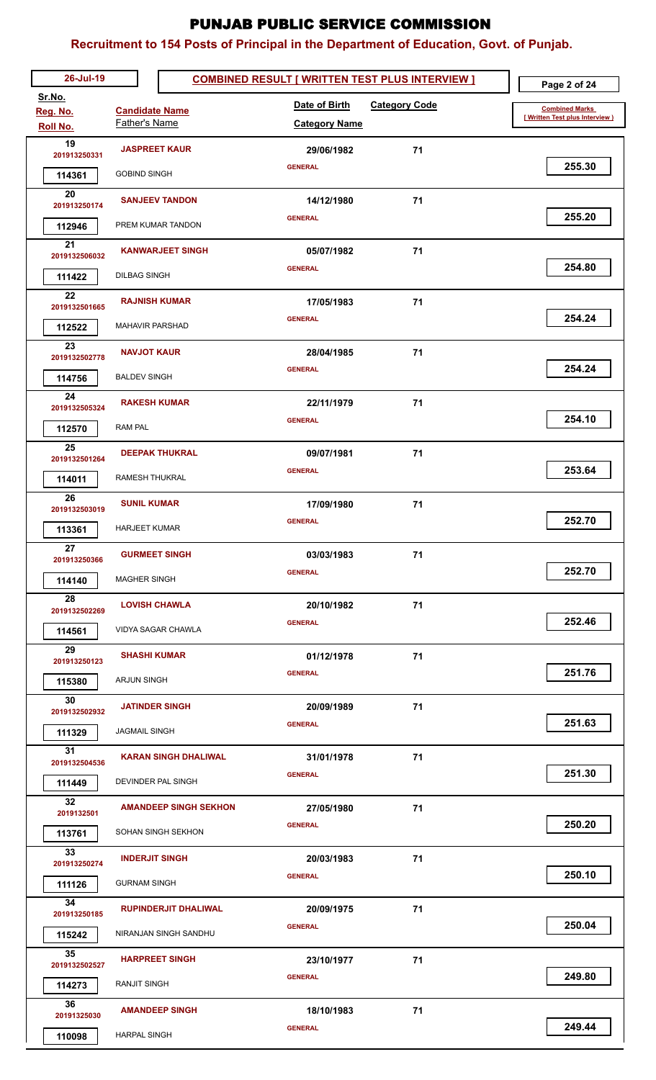| 26-Jul-19            |                              | <b>COMBINED RESULT [ WRITTEN TEST PLUS INTERVIEW ]</b> |                      | Page 2 of 24                    |
|----------------------|------------------------------|--------------------------------------------------------|----------------------|---------------------------------|
| Sr.No.               | <b>Candidate Name</b>        | Date of Birth                                          | <b>Category Code</b> | <b>Combined Marks</b>           |
| Reg. No.<br>Roll No. | <b>Father's Name</b>         | <b>Category Name</b>                                   |                      | [ Written Test plus Interview ) |
| 19                   | <b>JASPREET KAUR</b>         | 29/06/1982                                             | 71                   |                                 |
| 201913250331         |                              | <b>GENERAL</b>                                         |                      | 255.30                          |
| 114361<br>20         | <b>GOBIND SINGH</b>          |                                                        |                      |                                 |
| 201913250174         | <b>SANJEEV TANDON</b>        | 14/12/1980                                             | 71                   |                                 |
| 112946               | PREM KUMAR TANDON            | <b>GENERAL</b>                                         |                      | 255.20                          |
| 21<br>2019132506032  | <b>KANWARJEET SINGH</b>      | 05/07/1982                                             | 71                   |                                 |
| 111422               | <b>DILBAG SINGH</b>          | <b>GENERAL</b>                                         |                      | 254.80                          |
| 22                   |                              |                                                        |                      |                                 |
| 2019132501665        | <b>RAJNISH KUMAR</b>         | 17/05/1983<br><b>GENERAL</b>                           | 71                   | 254.24                          |
| 112522               | <b>MAHAVIR PARSHAD</b>       |                                                        |                      |                                 |
| 23<br>2019132502778  | <b>NAVJOT KAUR</b>           | 28/04/1985                                             | 71                   |                                 |
| 114756               | <b>BALDEV SINGH</b>          | <b>GENERAL</b>                                         |                      | 254.24                          |
| 24                   | <b>RAKESH KUMAR</b>          | 22/11/1979                                             | 71                   |                                 |
| 2019132505324        | <b>RAM PAL</b>               | <b>GENERAL</b>                                         |                      | 254.10                          |
| 112570<br>25         |                              |                                                        |                      |                                 |
| 2019132501264        | <b>DEEPAK THUKRAL</b>        | 09/07/1981                                             | 71                   |                                 |
| 114011               | RAMESH THUKRAL               | <b>GENERAL</b>                                         |                      | 253.64                          |
| 26<br>2019132503019  | <b>SUNIL KUMAR</b>           | 17/09/1980                                             | 71                   |                                 |
| 113361               | <b>HARJEET KUMAR</b>         | <b>GENERAL</b>                                         |                      | 252.70                          |
| 27                   | <b>GURMEET SINGH</b>         |                                                        |                      |                                 |
| 201913250366         |                              | 03/03/1983<br><b>GENERAL</b>                           | 71                   | 252.70                          |
| 114140               | <b>MAGHER SINGH</b>          |                                                        |                      |                                 |
| 28<br>2019132502269  | <b>LOVISH CHAWLA</b>         | 20/10/1982                                             | 71                   |                                 |
| 114561               | <b>VIDYA SAGAR CHAWLA</b>    | <b>GENERAL</b>                                         |                      | 252.46                          |
| 29<br>201913250123   | <b>SHASHI KUMAR</b>          | 01/12/1978                                             | 71                   |                                 |
| 115380               | ARJUN SINGH                  | <b>GENERAL</b>                                         |                      | 251.76                          |
| 30                   |                              |                                                        |                      |                                 |
| 2019132502932        | <b>JATINDER SINGH</b>        | 20/09/1989                                             | 71                   | 251.63                          |
| 111329               | <b>JAGMAIL SINGH</b>         | <b>GENERAL</b>                                         |                      |                                 |
| 31<br>2019132504536  | <b>KARAN SINGH DHALIWAL</b>  | 31/01/1978                                             | 71                   |                                 |
| 111449               | DEVINDER PAL SINGH           | <b>GENERAL</b>                                         |                      | 251.30                          |
| 32                   | <b>AMANDEEP SINGH SEKHON</b> | 27/05/1980                                             | 71                   |                                 |
| 2019132501           |                              | <b>GENERAL</b>                                         |                      | 250.20                          |
| 113761<br>33         | SOHAN SINGH SEKHON           |                                                        |                      |                                 |
| 201913250274         | <b>INDERJIT SINGH</b>        | 20/03/1983                                             | 71                   |                                 |
| 111126               | <b>GURNAM SINGH</b>          | <b>GENERAL</b>                                         |                      | 250.10                          |
| 34<br>201913250185   | <b>RUPINDERJIT DHALIWAL</b>  | 20/09/1975                                             | 71                   |                                 |
| 115242               | NIRANJAN SINGH SANDHU        | <b>GENERAL</b>                                         |                      | 250.04                          |
| 35                   | <b>HARPREET SINGH</b>        |                                                        | 71                   |                                 |
| 2019132502527        |                              | 23/10/1977<br><b>GENERAL</b>                           |                      | 249.80                          |
| 114273               | RANJIT SINGH                 |                                                        |                      |                                 |
| 36<br>20191325030    | <b>AMANDEEP SINGH</b>        | 18/10/1983                                             | 71                   |                                 |
| 110098               | <b>HARPAL SINGH</b>          | <b>GENERAL</b>                                         |                      | 249.44                          |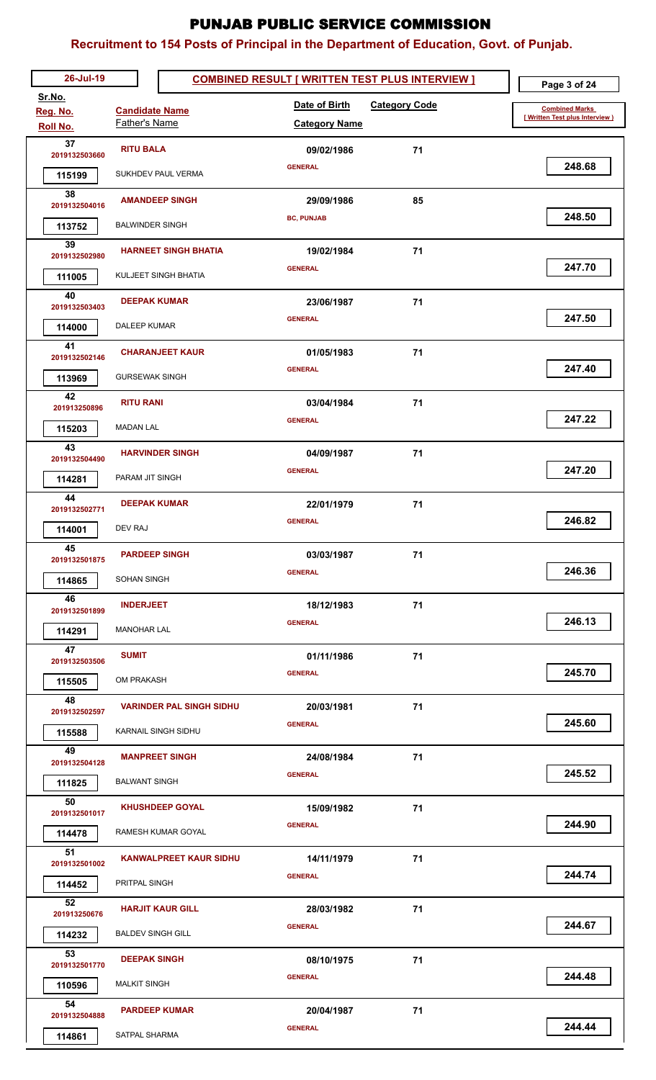| 26-Jul-19                   |                                               | <b>COMBINED RESULT [ WRITTEN TEST PLUS INTERVIEW ]</b> |                      | Page 3 of 24                    |
|-----------------------------|-----------------------------------------------|--------------------------------------------------------|----------------------|---------------------------------|
| Sr.No.                      |                                               | Date of Birth                                          | <b>Category Code</b> | <b>Combined Marks</b>           |
| Reg. No.<br><b>Roll No.</b> | <b>Candidate Name</b><br><b>Father's Name</b> | <b>Category Name</b>                                   |                      | [ Written Test plus Interview ] |
| 37                          |                                               |                                                        |                      |                                 |
| 2019132503660               | <b>RITU BALA</b>                              | 09/02/1986<br><b>GENERAL</b>                           | 71                   | 248.68                          |
| 115199                      | SUKHDEV PAUL VERMA                            |                                                        |                      |                                 |
| 38<br>2019132504016         | <b>AMANDEEP SINGH</b>                         | 29/09/1986                                             | 85                   |                                 |
| 113752                      | <b>BALWINDER SINGH</b>                        | <b>BC, PUNJAB</b>                                      |                      | 248.50                          |
| 39<br>2019132502980         | <b>HARNEET SINGH BHATIA</b>                   | 19/02/1984                                             | 71                   |                                 |
| 111005                      | KULJEET SINGH BHATIA                          | <b>GENERAL</b>                                         |                      | 247.70                          |
| 40                          | <b>DEEPAK KUMAR</b>                           | 23/06/1987                                             | 71                   |                                 |
| 2019132503403               |                                               | <b>GENERAL</b>                                         |                      | 247.50                          |
| 114000                      | <b>DALEEP KUMAR</b>                           |                                                        |                      |                                 |
| 41<br>2019132502146         | <b>CHARANJEET KAUR</b>                        | 01/05/1983                                             | 71                   |                                 |
| 113969                      | <b>GURSEWAK SINGH</b>                         | <b>GENERAL</b>                                         |                      | 247.40                          |
| 42<br>201913250896          | <b>RITU RANI</b>                              | 03/04/1984                                             | 71                   |                                 |
| 115203                      | <b>MADAN LAL</b>                              | <b>GENERAL</b>                                         |                      | 247.22                          |
| 43<br>2019132504490         | <b>HARVINDER SINGH</b>                        | 04/09/1987                                             | 71                   |                                 |
| 114281                      | PARAM JIT SINGH                               | <b>GENERAL</b>                                         |                      | 247.20                          |
| 44<br>2019132502771         | <b>DEEPAK KUMAR</b>                           | 22/01/1979                                             | 71                   |                                 |
| 114001                      | <b>DEV RAJ</b>                                | <b>GENERAL</b>                                         |                      | 246.82                          |
| 45                          | <b>PARDEEP SINGH</b>                          | 03/03/1987                                             | 71                   |                                 |
| 2019132501875               |                                               | <b>GENERAL</b>                                         |                      | 246.36                          |
| 114865<br>46                | SOHAN SINGH                                   |                                                        |                      |                                 |
| 2019132501899               | <b>INDERJEET</b>                              | 18/12/1983                                             | 71                   |                                 |
| 114291                      | <b>MANOHAR LAL</b>                            | <b>GENERAL</b>                                         |                      | 246.13                          |
| 47<br>2019132503506         | <b>SUMIT</b>                                  | 01/11/1986                                             | 71                   |                                 |
| 115505                      | OM PRAKASH                                    | <b>GENERAL</b>                                         |                      | 245.70                          |
| 48<br>2019132502597         | <b>VARINDER PAL SINGH SIDHU</b>               | 20/03/1981                                             | 71                   |                                 |
| 115588                      | KARNAIL SINGH SIDHU                           | <b>GENERAL</b>                                         |                      | 245.60                          |
| 49                          |                                               |                                                        |                      |                                 |
| 2019132504128               | <b>MANPREET SINGH</b>                         | 24/08/1984<br><b>GENERAL</b>                           | 71                   | 245.52                          |
| 111825                      | <b>BALWANT SINGH</b>                          |                                                        |                      |                                 |
| 50<br>2019132501017         | <b>KHUSHDEEP GOYAL</b>                        | 15/09/1982                                             | 71                   |                                 |
| 114478                      | RAMESH KUMAR GOYAL                            | <b>GENERAL</b>                                         |                      | 244.90                          |
| 51<br>2019132501002         | <b>KANWALPREET KAUR SIDHU</b>                 | 14/11/1979                                             | 71                   |                                 |
| 114452                      | PRITPAL SINGH                                 | <b>GENERAL</b>                                         |                      | 244.74                          |
| 52<br>201913250676          | <b>HARJIT KAUR GILL</b>                       | 28/03/1982                                             | 71                   |                                 |
| 114232                      | <b>BALDEV SINGH GILL</b>                      | <b>GENERAL</b>                                         |                      | 244.67                          |
| 53                          | <b>DEEPAK SINGH</b>                           | 08/10/1975                                             | 71                   |                                 |
| 2019132501770<br>110596     | <b>MALKIT SINGH</b>                           | <b>GENERAL</b>                                         |                      | 244.48                          |
| 54                          | <b>PARDEEP KUMAR</b>                          |                                                        |                      |                                 |
| 2019132504888               |                                               | 20/04/1987<br><b>GENERAL</b>                           | 71                   | 244.44                          |
| 114861                      | SATPAL SHARMA                                 |                                                        |                      |                                 |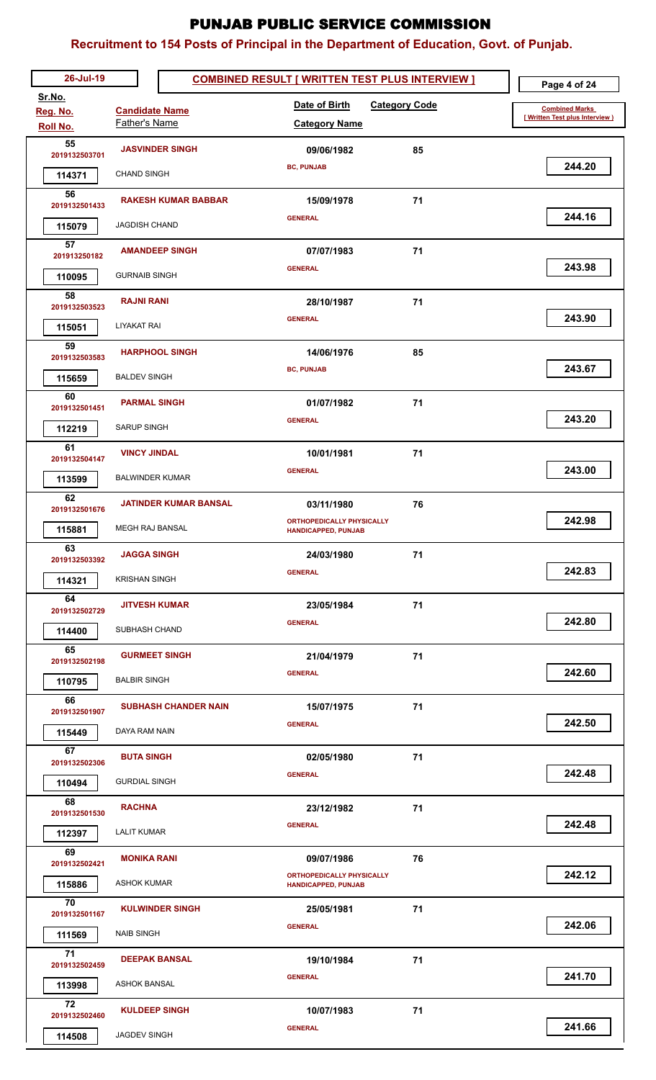| 26-Jul-19               |                              | <b>COMBINED RESULT [ WRITTEN TEST PLUS INTERVIEW ]</b>         |    | Page 4 of 24                    |
|-------------------------|------------------------------|----------------------------------------------------------------|----|---------------------------------|
| Sr.No.<br>Reg. No.      | <b>Candidate Name</b>        | Date of Birth<br><b>Category Code</b>                          |    | <b>Combined Marks</b>           |
| Roll No.                | Father's Name                | <b>Category Name</b>                                           |    | [ Written Test plus Interview ) |
| 55<br>2019132503701     | <b>JASVINDER SINGH</b>       | 09/06/1982                                                     | 85 |                                 |
| 114371                  | <b>CHAND SINGH</b>           | <b>BC, PUNJAB</b>                                              |    | 244.20                          |
| 56<br>2019132501433     | <b>RAKESH KUMAR BABBAR</b>   | 15/09/1978                                                     | 71 |                                 |
| 115079                  | <b>JAGDISH CHAND</b>         | <b>GENERAL</b>                                                 |    | 244.16                          |
| 57                      | <b>AMANDEEP SINGH</b>        | 07/07/1983                                                     | 71 |                                 |
| 201913250182<br>110095  | <b>GURNAIB SINGH</b>         | <b>GENERAL</b>                                                 |    | 243.98                          |
| 58                      |                              |                                                                |    |                                 |
| 2019132503523           | <b>RAJNI RANI</b>            | 28/10/1987<br><b>GENERAL</b>                                   | 71 | 243.90                          |
| 115051<br>59            | <b>LIYAKAT RAI</b>           |                                                                |    |                                 |
| 2019132503583           | <b>HARPHOOL SINGH</b>        | 14/06/1976                                                     | 85 | 243.67                          |
| 115659                  | <b>BALDEV SINGH</b>          | <b>BC, PUNJAB</b>                                              |    |                                 |
| 60<br>2019132501451     | <b>PARMAL SINGH</b>          | 01/07/1982                                                     | 71 |                                 |
| 112219                  | <b>SARUP SINGH</b>           | <b>GENERAL</b>                                                 |    | 243.20                          |
| 61<br>2019132504147     | <b>VINCY JINDAL</b>          | 10/01/1981                                                     | 71 |                                 |
| 113599                  | <b>BALWINDER KUMAR</b>       | <b>GENERAL</b>                                                 |    | 243.00                          |
| 62                      | <b>JATINDER KUMAR BANSAL</b> | 03/11/1980                                                     | 76 |                                 |
| 2019132501676<br>115881 | <b>MEGH RAJ BANSAL</b>       | <b>ORTHOPEDICALLY PHYSICALLY</b><br><b>HANDICAPPED, PUNJAB</b> |    | 242.98                          |
| 63                      | <b>JAGGA SINGH</b>           | 24/03/1980                                                     | 71 |                                 |
| 2019132503392           | <b>KRISHAN SINGH</b>         | <b>GENERAL</b>                                                 |    | 242.83                          |
| 114321<br>64            |                              |                                                                |    |                                 |
| 2019132502729           | <b>JITVESH KUMAR</b>         | 23/05/1984<br><b>GENERAL</b>                                   | 71 | 242.80                          |
| 114400                  | SUBHASH CHAND                |                                                                |    |                                 |
| 65<br>2019132502198     | <b>GURMEET SINGH</b>         | 21/04/1979                                                     | 71 |                                 |
| 110795                  | <b>BALBIR SINGH</b>          | <b>GENERAL</b>                                                 |    | 242.60                          |
| 66<br>2019132501907     | <b>SUBHASH CHANDER NAIN</b>  | 15/07/1975                                                     | 71 |                                 |
| 115449                  | DAYA RAM NAIN                | <b>GENERAL</b>                                                 |    | 242.50                          |
| 67<br>2019132502306     | <b>BUTA SINGH</b>            | 02/05/1980                                                     | 71 |                                 |
| 110494                  | <b>GURDIAL SINGH</b>         | <b>GENERAL</b>                                                 |    | 242.48                          |
| 68                      | <b>RACHNA</b>                | 23/12/1982                                                     | 71 |                                 |
| 2019132501530<br>112397 | <b>LALIT KUMAR</b>           | <b>GENERAL</b>                                                 |    | 242.48                          |
| 69                      | <b>MONIKA RANI</b>           | 09/07/1986                                                     | 76 |                                 |
| 2019132502421           | <b>ASHOK KUMAR</b>           | <b>ORTHOPEDICALLY PHYSICALLY</b>                               |    | 242.12                          |
| 115886<br>70            |                              | <b>HANDICAPPED, PUNJAB</b>                                     |    |                                 |
| 2019132501167           | <b>KULWINDER SINGH</b>       | 25/05/1981<br><b>GENERAL</b>                                   | 71 | 242.06                          |
| 111569<br>71            | <b>NAIB SINGH</b>            |                                                                |    |                                 |
| 2019132502459           | <b>DEEPAK BANSAL</b>         | 19/10/1984                                                     | 71 | 241.70                          |
| 113998                  | <b>ASHOK BANSAL</b>          | <b>GENERAL</b>                                                 |    |                                 |
| 72<br>2019132502460     | <b>KULDEEP SINGH</b>         | 10/07/1983                                                     | 71 |                                 |
| 114508                  | JAGDEV SINGH                 | <b>GENERAL</b>                                                 |    | 241.66                          |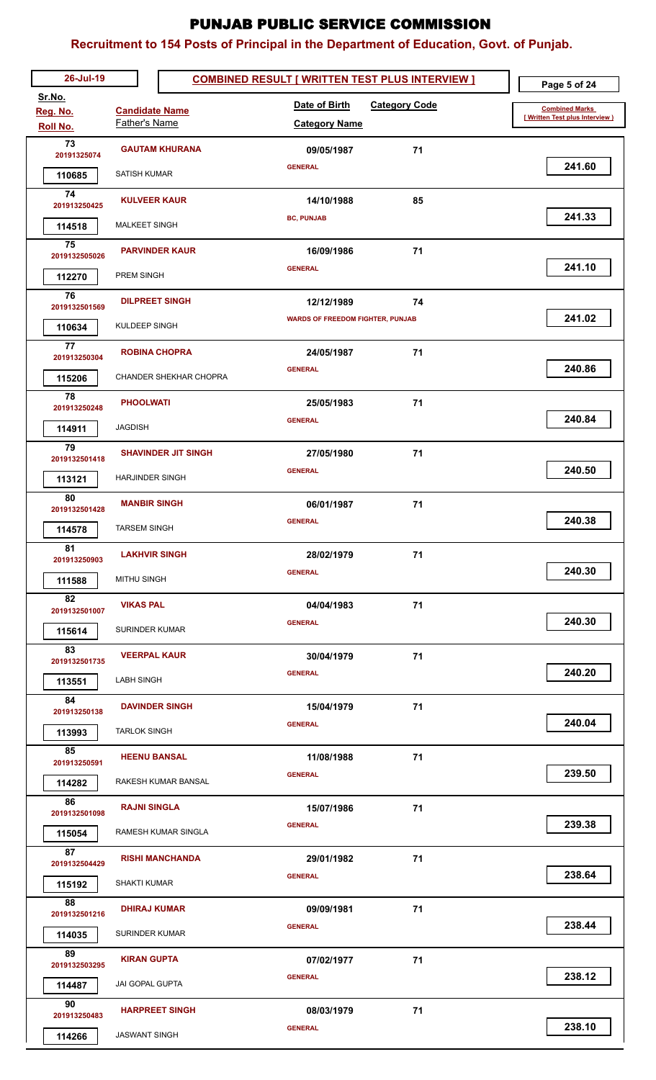| 26-Jul-19             |                               | <b>COMBINED RESULT [ WRITTEN TEST PLUS INTERVIEW ]</b> | Page 5 of 24                                                                                                   |
|-----------------------|-------------------------------|--------------------------------------------------------|----------------------------------------------------------------------------------------------------------------|
| Sr.No.<br>Reg. No.    | <b>Candidate Name</b>         | Date of Birth<br><b>Category Code</b>                  | <b>Combined Marks</b>                                                                                          |
| Roll No.              | Father's Name                 | <b>Category Name</b>                                   | [ Written Test plus Interview )                                                                                |
| 73                    | <b>GAUTAM KHURANA</b>         | 71<br>09/05/1987                                       |                                                                                                                |
| 20191325074<br>110685 | SATISH KUMAR                  | <b>GENERAL</b>                                         | 241.60                                                                                                         |
| 74                    |                               |                                                        |                                                                                                                |
| 201913250425          | <b>KULVEER KAUR</b>           | 85<br>14/10/1988                                       | 241.33                                                                                                         |
| 114518                | MALKEET SINGH                 | <b>BC, PUNJAB</b>                                      |                                                                                                                |
| 75<br>2019132505026   | <b>PARVINDER KAUR</b>         | 71<br>16/09/1986                                       |                                                                                                                |
| 112270                | PREM SINGH                    | <b>GENERAL</b>                                         | 241.10                                                                                                         |
| 76                    | <b>DILPREET SINGH</b>         | 12/12/1989<br>74                                       |                                                                                                                |
| 2019132501569         |                               | <b>WARDS OF FREEDOM FIGHTER, PUNJAB</b>                | 241.02                                                                                                         |
| 110634                | KULDEEP SINGH                 |                                                        |                                                                                                                |
| 77<br>201913250304    | <b>ROBINA CHOPRA</b>          | 71<br>24/05/1987                                       |                                                                                                                |
| 115206                | <b>CHANDER SHEKHAR CHOPRA</b> | <b>GENERAL</b>                                         | 240.86                                                                                                         |
| 78<br>201913250248    | <b>PHOOLWATI</b>              | 71<br>25/05/1983                                       |                                                                                                                |
|                       | <b>JAGDISH</b>                | <b>GENERAL</b>                                         | 240.84                                                                                                         |
| 114911<br>79          |                               |                                                        |                                                                                                                |
| 2019132501418         | <b>SHAVINDER JIT SINGH</b>    | 71<br>27/05/1980<br><b>GENERAL</b>                     | 240.50                                                                                                         |
| 113121                | <b>HARJINDER SINGH</b>        |                                                        |                                                                                                                |
| 80<br>2019132501428   | <b>MANBIR SINGH</b>           | 06/01/1987<br>71                                       |                                                                                                                |
| 114578                | <b>TARSEM SINGH</b>           | <b>GENERAL</b>                                         | 240.38                                                                                                         |
| 81                    | <b>LAKHVIR SINGH</b>          | 28/02/1979<br>71                                       |                                                                                                                |
| 201913250903          |                               | <b>GENERAL</b>                                         | 240.30                                                                                                         |
| 111588                | <b>MITHU SINGH</b>            |                                                        |                                                                                                                |
| 82<br>2019132501007   | <b>VIKAS PAL</b>              | 71<br>04/04/1983                                       |                                                                                                                |
| 115614                | <b>SURINDER KUMAR</b>         | <b>GENERAL</b>                                         | 240.30                                                                                                         |
| 83<br>2019132501735   | <b>VEERPAL KAUR</b>           | 71<br>30/04/1979                                       |                                                                                                                |
| 113551                | <b>LABH SINGH</b>             | <b>GENERAL</b>                                         | 240.20                                                                                                         |
| 84                    |                               |                                                        |                                                                                                                |
| 201913250138          | <b>DAVINDER SINGH</b>         | 71<br>15/04/1979<br><b>GENERAL</b>                     | 240.04                                                                                                         |
| 113993                | <b>TARLOK SINGH</b>           |                                                        |                                                                                                                |
| 85<br>201913250591    | <b>HEENU BANSAL</b>           | 71<br>11/08/1988                                       |                                                                                                                |
| 114282                | RAKESH KUMAR BANSAL           | <b>GENERAL</b>                                         | 239.50                                                                                                         |
| 86                    | <b>RAJNI SINGLA</b>           | 71<br>15/07/1986                                       |                                                                                                                |
| 2019132501098         |                               | <b>GENERAL</b>                                         | 239.38                                                                                                         |
| 115054<br>87          | RAMESH KUMAR SINGLA           |                                                        |                                                                                                                |
| 2019132504429         | <b>RISHI MANCHANDA</b>        | 71<br>29/01/1982                                       | 238.64                                                                                                         |
| 115192                | SHAKTI KUMAR                  | <b>GENERAL</b>                                         |                                                                                                                |
| 88<br>2019132501216   | <b>DHIRAJ KUMAR</b>           | 09/09/1981<br>71                                       |                                                                                                                |
| 114035                | <b>SURINDER KUMAR</b>         | <b>GENERAL</b>                                         | 238.44                                                                                                         |
| 89                    | <b>KIRAN GUPTA</b>            | 71                                                     |                                                                                                                |
| 2019132503295         |                               | 07/02/1977<br><b>GENERAL</b>                           | 238.12                                                                                                         |
| 114487                | <b>JAI GOPAL GUPTA</b>        |                                                        |                                                                                                                |
| 90<br>201913250483    | <b>HARPREET SINGH</b>         | 08/03/1979<br>71                                       |                                                                                                                |
| 114266                | <b>JASWANT SINGH</b>          | <b>GENERAL</b>                                         | 238.10<br>Ц<br><u> The Common School and The Common School and The Common School and The Common School and</u> |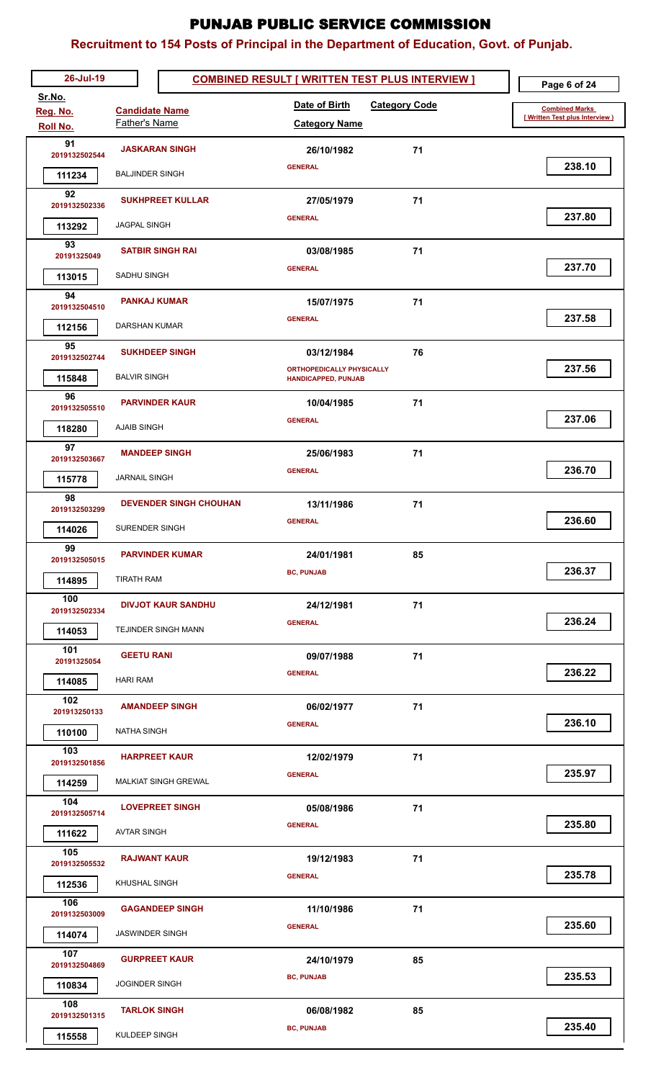| 26-Jul-19               |                               | <b>COMBINED RESULT [ WRITTEN TEST PLUS INTERVIEW ]</b>         | Page 6 of 24                    |
|-------------------------|-------------------------------|----------------------------------------------------------------|---------------------------------|
| Sr.No.<br>Reg. No.      | <b>Candidate Name</b>         | Date of Birth<br><b>Category Code</b>                          | <b>Combined Marks</b>           |
| Roll No.                | Father's Name                 | <b>Category Name</b>                                           | [ Written Test plus Interview ) |
| 91<br>2019132502544     | <b>JASKARAN SINGH</b>         | 26/10/1982<br>71                                               |                                 |
| 111234                  | <b>BALJINDER SINGH</b>        | <b>GENERAL</b>                                                 | 238.10                          |
| 92                      | <b>SUKHPREET KULLAR</b>       | 71<br>27/05/1979                                               |                                 |
| 2019132502336           | <b>JAGPAL SINGH</b>           | <b>GENERAL</b>                                                 | 237.80                          |
| 113292<br>93            |                               |                                                                |                                 |
| 20191325049             | <b>SATBIR SINGH RAI</b>       | 71<br>03/08/1985<br><b>GENERAL</b>                             | 237.70                          |
| 113015                  | SADHU SINGH                   |                                                                |                                 |
| 94<br>2019132504510     | <b>PANKAJ KUMAR</b>           | 71<br>15/07/1975                                               |                                 |
| 112156                  | DARSHAN KUMAR                 | <b>GENERAL</b>                                                 | 237.58                          |
| 95                      | <b>SUKHDEEP SINGH</b>         | 76<br>03/12/1984                                               |                                 |
| 2019132502744<br>115848 | <b>BALVIR SINGH</b>           | <b>ORTHOPEDICALLY PHYSICALLY</b><br><b>HANDICAPPED, PUNJAB</b> | 237.56                          |
| 96                      |                               |                                                                |                                 |
| 2019132505510           | <b>PARVINDER KAUR</b>         | 10/04/1985<br>71<br><b>GENERAL</b>                             | 237.06                          |
| 118280                  | <b>AJAIB SINGH</b>            |                                                                |                                 |
| 97<br>2019132503667     | <b>MANDEEP SINGH</b>          | 71<br>25/06/1983                                               |                                 |
| 115778                  | <b>JARNAIL SINGH</b>          | <b>GENERAL</b>                                                 | 236.70                          |
| 98<br>2019132503299     | <b>DEVENDER SINGH CHOUHAN</b> | 71<br>13/11/1986                                               |                                 |
| 114026                  | SURENDER SINGH                | <b>GENERAL</b>                                                 | 236.60                          |
| 99                      | <b>PARVINDER KUMAR</b>        | 24/01/1981<br>85                                               |                                 |
| 2019132505015           |                               | <b>BC, PUNJAB</b>                                              | 236.37                          |
| 114895<br>100           | <b>TIRATH RAM</b>             |                                                                |                                 |
| 2019132502334           | <b>DIVJOT KAUR SANDHU</b>     | 24/12/1981<br>71                                               |                                 |
| 114053                  | TEJINDER SINGH MANN           | <b>GENERAL</b>                                                 | 236.24                          |
| 101<br>20191325054      | <b>GEETU RANI</b>             | 71<br>09/07/1988                                               |                                 |
| 114085                  | <b>HARI RAM</b>               | <b>GENERAL</b>                                                 | 236.22                          |
| 102                     | <b>AMANDEEP SINGH</b>         | 71<br>06/02/1977                                               |                                 |
| 201913250133<br>110100  | <b>NATHA SINGH</b>            | <b>GENERAL</b>                                                 | 236.10                          |
| 103                     |                               |                                                                |                                 |
| 2019132501856           | <b>HARPREET KAUR</b>          | 71<br>12/02/1979<br><b>GENERAL</b>                             | 235.97                          |
| 114259                  | <b>MALKIAT SINGH GREWAL</b>   |                                                                |                                 |
| 104<br>2019132505714    | <b>LOVEPREET SINGH</b>        | 71<br>05/08/1986                                               |                                 |
| 111622                  | <b>AVTAR SINGH</b>            | <b>GENERAL</b>                                                 | 235.80                          |
| 105<br>2019132505532    | <b>RAJWANT KAUR</b>           | 71<br>19/12/1983                                               |                                 |
| 112536                  | KHUSHAL SINGH                 | <b>GENERAL</b>                                                 | 235.78                          |
| 106                     | <b>GAGANDEEP SINGH</b>        | 71<br>11/10/1986                                               |                                 |
| 2019132503009           | <b>JASWINDER SINGH</b>        | <b>GENERAL</b>                                                 | 235.60                          |
| 114074<br>107           |                               |                                                                |                                 |
| 2019132504869           | <b>GURPREET KAUR</b>          | 24/10/1979<br>85<br><b>BC, PUNJAB</b>                          | 235.53                          |
| 110834                  | <b>JOGINDER SINGH</b>         |                                                                |                                 |
| 108<br>2019132501315    | <b>TARLOK SINGH</b>           | 06/08/1982<br>85                                               |                                 |
| 115558                  | KULDEEP SINGH                 | <b>BC, PUNJAB</b>                                              | 235.40                          |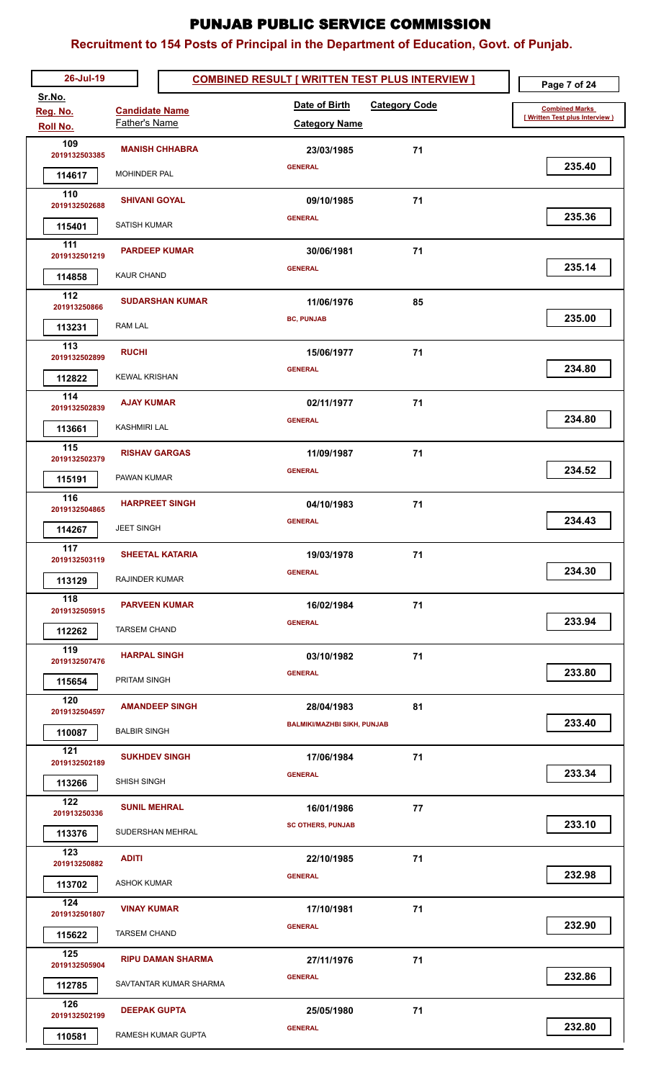| 26-Jul-19                        |                          | <b>COMBINED RESULT [ WRITTEN TEST PLUS INTERVIEW ]</b> |    | Page 7 of 24                    |
|----------------------------------|--------------------------|--------------------------------------------------------|----|---------------------------------|
| Sr.No.<br>Reg. No.               | <b>Candidate Name</b>    | <b>Category Code</b><br>Date of Birth                  |    | <b>Combined Marks</b>           |
| Roll No.                         | Father's Name            | <b>Category Name</b>                                   |    | [ Written Test plus Interview ) |
| 109<br>2019132503385             | <b>MANISH CHHABRA</b>    | 23/03/1985                                             | 71 |                                 |
| 114617                           | MOHINDER PAL             | <b>GENERAL</b>                                         |    | 235.40                          |
| 110<br>2019132502688             | <b>SHIVANI GOYAL</b>     | 09/10/1985                                             | 71 |                                 |
| 115401                           | <b>SATISH KUMAR</b>      | <b>GENERAL</b>                                         |    | 235.36                          |
| 111<br>2019132501219             | <b>PARDEEP KUMAR</b>     | 30/06/1981                                             | 71 |                                 |
| 114858                           | <b>KAUR CHAND</b>        | <b>GENERAL</b>                                         |    | 235.14                          |
| 112                              | <b>SUDARSHAN KUMAR</b>   | 11/06/1976                                             | 85 |                                 |
| 201913250866<br>113231           | <b>RAM LAL</b>           | <b>BC, PUNJAB</b>                                      |    | 235.00                          |
| 113                              | <b>RUCHI</b>             | 15/06/1977                                             | 71 |                                 |
| 2019132502899                    | <b>KEWAL KRISHAN</b>     | <b>GENERAL</b>                                         |    | 234.80                          |
| 112822<br>114                    |                          |                                                        |    |                                 |
| 2019132502839                    | <b>AJAY KUMAR</b>        | 02/11/1977<br><b>GENERAL</b>                           | 71 | 234.80                          |
| 113661<br>115                    | <b>KASHMIRI LAL</b>      |                                                        |    |                                 |
| 2019132502379                    | <b>RISHAV GARGAS</b>     | 11/09/1987<br><b>GENERAL</b>                           | 71 | 234.52                          |
| 115191                           | PAWAN KUMAR              |                                                        |    |                                 |
| 116<br>2019132504865             | <b>HARPREET SINGH</b>    | 04/10/1983                                             | 71 |                                 |
| 114267                           | <b>JEET SINGH</b>        | <b>GENERAL</b>                                         |    | 234.43                          |
| $\frac{1}{117}$<br>2019132503119 | <b>SHEETAL KATARIA</b>   | 19/03/1978                                             | 71 |                                 |
| 113129                           | RAJINDER KUMAR           | <b>GENERAL</b>                                         |    | 234.30                          |
| 118<br>2019132505915             | <b>PARVEEN KUMAR</b>     | 16/02/1984                                             | 71 |                                 |
| 112262                           | <b>TARSEM CHAND</b>      | <b>GENERAL</b>                                         |    | 233.94                          |
| 119<br>2019132507476             | <b>HARPAL SINGH</b>      | 03/10/1982                                             | 71 |                                 |
| 115654                           | <b>PRITAM SINGH</b>      | <b>GENERAL</b>                                         |    | 233.80                          |
| 120<br>2019132504597             | <b>AMANDEEP SINGH</b>    | 28/04/1983                                             | 81 |                                 |
| 110087                           | <b>BALBIR SINGH</b>      | <b>BALMIKI/MAZHBI SIKH, PUNJAB</b>                     |    | 233.40                          |
| 121<br>2019132502189             | <b>SUKHDEV SINGH</b>     | 17/06/1984                                             | 71 |                                 |
| 113266                           | SHISH SINGH              | <b>GENERAL</b>                                         |    | 233.34                          |
| 122<br>201913250336              | <b>SUNIL MEHRAL</b>      | 16/01/1986                                             | 77 |                                 |
| 113376                           | SUDERSHAN MEHRAL         | <b>SC OTHERS, PUNJAB</b>                               |    | 233.10                          |
| 123                              | <b>ADITI</b>             | 22/10/1985                                             | 71 |                                 |
| 201913250882<br>113702           | <b>ASHOK KUMAR</b>       | <b>GENERAL</b>                                         |    | 232.98                          |
| 124                              | <b>VINAY KUMAR</b>       | 17/10/1981                                             | 71 |                                 |
| 2019132501807<br>115622          | <b>TARSEM CHAND</b>      | <b>GENERAL</b>                                         |    | 232.90                          |
| 125                              | <b>RIPU DAMAN SHARMA</b> | 27/11/1976                                             | 71 |                                 |
| 2019132505904                    | SAVTANTAR KUMAR SHARMA   | <b>GENERAL</b>                                         |    | 232.86                          |
| 112785<br>126                    |                          |                                                        |    |                                 |
| 2019132502199                    | <b>DEEPAK GUPTA</b>      | 25/05/1980<br><b>GENERAL</b>                           | 71 | 232.80                          |
| 110581                           | RAMESH KUMAR GUPTA       |                                                        |    |                                 |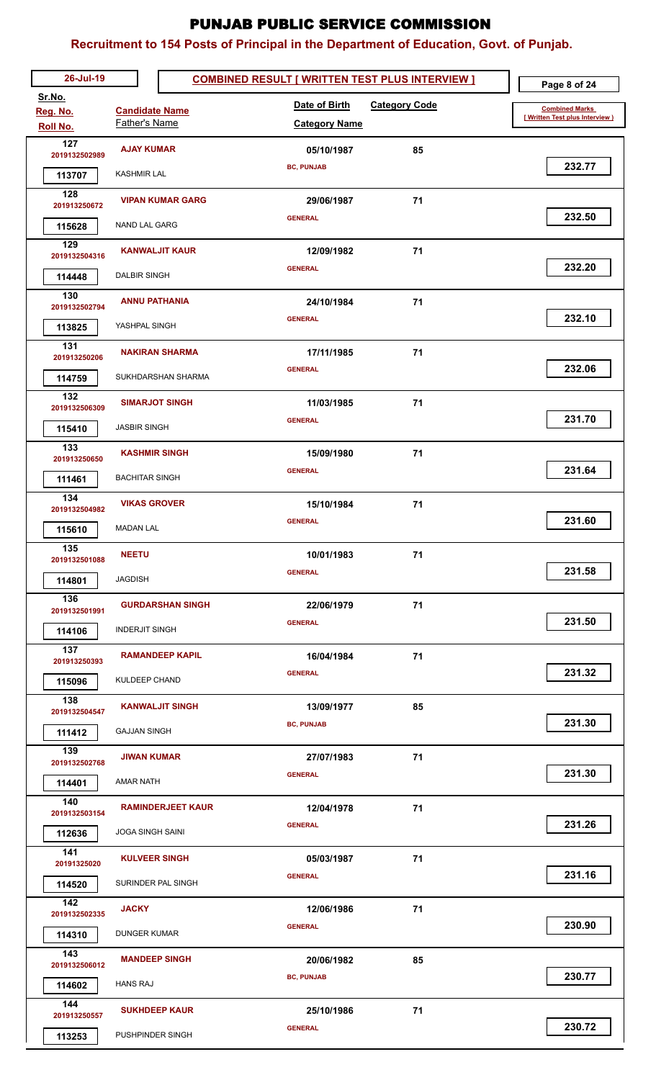| 26-Jul-19                        |                          | <b>COMBINED RESULT [ WRITTEN TEST PLUS INTERVIEW ]</b> | Page 8 of 24                    |
|----------------------------------|--------------------------|--------------------------------------------------------|---------------------------------|
| Sr.No.<br>Reg. No.               | <b>Candidate Name</b>    | Date of Birth<br><b>Category Code</b>                  | <b>Combined Marks</b>           |
| Roll No.                         | Father's Name            | <b>Category Name</b>                                   | [ Written Test plus Interview ) |
| 127<br>2019132502989             | <b>AJAY KUMAR</b>        | 85<br>05/10/1987                                       |                                 |
| 113707                           | <b>KASHMIR LAL</b>       | <b>BC, PUNJAB</b>                                      | 232.77                          |
| 128                              | <b>VIPAN KUMAR GARG</b>  | 71                                                     |                                 |
| 201913250672                     |                          | 29/06/1987<br><b>GENERAL</b>                           | 232.50                          |
| 115628                           | NAND LAL GARG            |                                                        |                                 |
| 129<br>2019132504316             | <b>KANWALJIT KAUR</b>    | 71<br>12/09/1982                                       |                                 |
| 114448                           | <b>DALBIR SINGH</b>      | <b>GENERAL</b>                                         | 232.20                          |
| 130<br>2019132502794             | <b>ANNU PATHANIA</b>     | 71<br>24/10/1984                                       |                                 |
| 113825                           | YASHPAL SINGH            | <b>GENERAL</b>                                         | 232.10                          |
| 131                              |                          |                                                        |                                 |
| 201913250206                     | <b>NAKIRAN SHARMA</b>    | 17/11/1985<br>71<br><b>GENERAL</b>                     | 232.06                          |
| 114759                           | SUKHDARSHAN SHARMA       |                                                        |                                 |
| 132<br>2019132506309             | <b>SIMARJOT SINGH</b>    | 11/03/1985<br>71                                       |                                 |
| 115410                           | <b>JASBIR SINGH</b>      | <b>GENERAL</b>                                         | 231.70                          |
| 133                              | <b>KASHMIR SINGH</b>     | 71<br>15/09/1980                                       |                                 |
| 201913250650                     | <b>BACHITAR SINGH</b>    | <b>GENERAL</b>                                         | 231.64                          |
| 111461<br>134                    |                          |                                                        |                                 |
| 2019132504982                    | <b>VIKAS GROVER</b>      | 71<br>15/10/1984                                       | 231.60                          |
| 115610                           | <b>MADAN LAL</b>         | <b>GENERAL</b>                                         |                                 |
| $\frac{1}{135}$<br>2019132501088 | <b>NEETU</b>             | 10/01/1983<br>71                                       |                                 |
| 114801                           | <b>JAGDISH</b>           | <b>GENERAL</b>                                         | 231.58                          |
| 136                              | <b>GURDARSHAN SINGH</b>  | 22/06/1979<br>71                                       |                                 |
| 2019132501991                    |                          | <b>GENERAL</b>                                         | 231.50                          |
| 114106<br>137                    | <b>INDERJIT SINGH</b>    |                                                        |                                 |
| 201913250393                     | <b>RAMANDEEP KAPIL</b>   | 71<br>16/04/1984                                       |                                 |
| 115096                           | <b>KULDEEP CHAND</b>     | <b>GENERAL</b>                                         | 231.32                          |
| 138<br>2019132504547             | <b>KANWALJIT SINGH</b>   | 85<br>13/09/1977                                       |                                 |
| 111412                           | <b>GAJJAN SINGH</b>      | <b>BC, PUNJAB</b>                                      | 231.30                          |
| 139                              | <b>JIWAN KUMAR</b>       | 71<br>27/07/1983                                       |                                 |
| 2019132502768                    |                          | <b>GENERAL</b>                                         | 231.30                          |
| 114401<br>140                    | AMAR NATH                |                                                        |                                 |
| 2019132503154                    | <b>RAMINDERJEET KAUR</b> | 71<br>12/04/1978                                       |                                 |
| 112636                           | <b>JOGA SINGH SAINI</b>  | <b>GENERAL</b>                                         | 231.26                          |
| 141<br>20191325020               | <b>KULVEER SINGH</b>     | 71<br>05/03/1987                                       |                                 |
| 114520                           | SURINDER PAL SINGH       | <b>GENERAL</b>                                         | 231.16                          |
| 142                              | <b>JACKY</b>             | 71<br>12/06/1986                                       |                                 |
| 2019132502335                    |                          | <b>GENERAL</b>                                         | 230.90                          |
| 114310<br>143                    | DUNGER KUMAR             |                                                        |                                 |
| 2019132506012                    | <b>MANDEEP SINGH</b>     | 20/06/1982<br>85                                       |                                 |
| 114602                           | <b>HANS RAJ</b>          | <b>BC, PUNJAB</b>                                      | 230.77                          |
| 144<br>201913250557              | <b>SUKHDEEP KAUR</b>     | 25/10/1986<br>71                                       |                                 |
| 113253                           | PUSHPINDER SINGH         | <b>GENERAL</b>                                         | 230.72                          |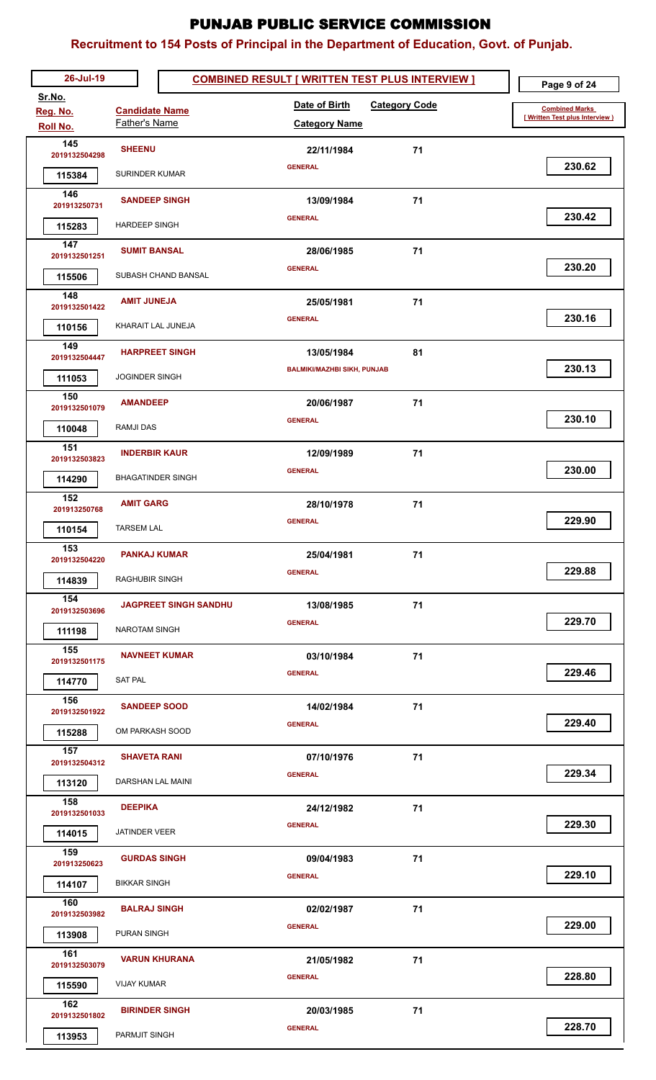| 26-Jul-19               |                              | <b>COMBINED RESULT [ WRITTEN TEST PLUS INTERVIEW ]</b> | Page 9 of 24                    |
|-------------------------|------------------------------|--------------------------------------------------------|---------------------------------|
| Sr.No.<br>Reg. No.      | <b>Candidate Name</b>        | Date of Birth<br><b>Category Code</b>                  | <b>Combined Marks</b>           |
| Roll No.                | Father's Name                | <b>Category Name</b>                                   | [ Written Test plus Interview ) |
| 145<br>2019132504298    | <b>SHEENU</b>                | 71<br>22/11/1984                                       |                                 |
| 115384                  | SURINDER KUMAR               | <b>GENERAL</b>                                         | 230.62                          |
| 146                     | <b>SANDEEP SINGH</b>         | 71<br>13/09/1984                                       |                                 |
| 201913250731<br>115283  | <b>HARDEEP SINGH</b>         | <b>GENERAL</b>                                         | 230.42                          |
| 147                     |                              |                                                        |                                 |
| 2019132501251           | <b>SUMIT BANSAL</b>          | 71<br>28/06/1985<br><b>GENERAL</b>                     | 230.20                          |
| 115506                  | SUBASH CHAND BANSAL          |                                                        |                                 |
| 148<br>2019132501422    | <b>AMIT JUNEJA</b>           | 71<br>25/05/1981                                       |                                 |
| 110156                  | KHARAIT LAL JUNEJA           | <b>GENERAL</b>                                         | 230.16                          |
| 149<br>2019132504447    | <b>HARPREET SINGH</b>        | 81<br>13/05/1984                                       |                                 |
| 111053                  | <b>JOGINDER SINGH</b>        | <b>BALMIKI/MAZHBI SIKH, PUNJAB</b>                     | 230.13                          |
| 150                     | <b>AMANDEEP</b>              | 71<br>20/06/1987                                       |                                 |
| 2019132501079           | <b>RAMJI DAS</b>             | <b>GENERAL</b>                                         | 230.10                          |
| 110048<br>151           |                              |                                                        |                                 |
| 2019132503823           | <b>INDERBIR KAUR</b>         | 71<br>12/09/1989<br><b>GENERAL</b>                     | 230.00                          |
| 114290                  | <b>BHAGATINDER SINGH</b>     |                                                        |                                 |
| 152<br>201913250768     | <b>AMIT GARG</b>             | 71<br>28/10/1978                                       |                                 |
| 110154                  | <b>TARSEM LAL</b>            | <b>GENERAL</b>                                         | 229.90                          |
| 153<br>2019132504220    | <b>PANKAJ KUMAR</b>          | 25/04/1981<br>71                                       |                                 |
| 114839                  | <b>RAGHUBIR SINGH</b>        | <b>GENERAL</b>                                         | 229.88                          |
| 154                     | <b>JAGPREET SINGH SANDHU</b> | 13/08/1985<br>71                                       |                                 |
| 2019132503696           |                              | <b>GENERAL</b>                                         | 229.70                          |
| 111198<br>155           | <b>NAROTAM SINGH</b>         |                                                        |                                 |
| 2019132501175           | <b>NAVNEET KUMAR</b>         | 71<br>03/10/1984<br><b>GENERAL</b>                     | 229.46                          |
| 114770                  | <b>SAT PAL</b>               |                                                        |                                 |
| 156<br>2019132501922    | <b>SANDEEP SOOD</b>          | 71<br>14/02/1984                                       |                                 |
| 115288                  | OM PARKASH SOOD              | <b>GENERAL</b>                                         | 229.40                          |
| 157<br>2019132504312    | <b>SHAVETA RANI</b>          | 71<br>07/10/1976                                       |                                 |
| 113120                  | DARSHAN LAL MAINI            | <b>GENERAL</b>                                         | 229.34                          |
| 158                     | <b>DEEPIKA</b>               | 71<br>24/12/1982                                       |                                 |
| 2019132501033           | JATINDER VEER                | <b>GENERAL</b>                                         | 229.30                          |
| 114015<br>159           |                              |                                                        |                                 |
| 201913250623            | <b>GURDAS SINGH</b>          | 71<br>09/04/1983<br><b>GENERAL</b>                     | 229.10                          |
| 114107                  | <b>BIKKAR SINGH</b>          |                                                        |                                 |
| 160<br>2019132503982    | <b>BALRAJ SINGH</b>          | 71<br>02/02/1987                                       |                                 |
| 113908                  | <b>PURAN SINGH</b>           | <b>GENERAL</b>                                         | 229.00                          |
| 161<br>2019132503079    | <b>VARUN KHURANA</b>         | 21/05/1982<br>71                                       |                                 |
| 115590                  | VIJAY KUMAR                  | <b>GENERAL</b>                                         | 228.80                          |
| 162                     | <b>BIRINDER SINGH</b>        | 71<br>20/03/1985                                       |                                 |
| 2019132501802<br>113953 | PARMJIT SINGH                | <b>GENERAL</b>                                         | 228.70                          |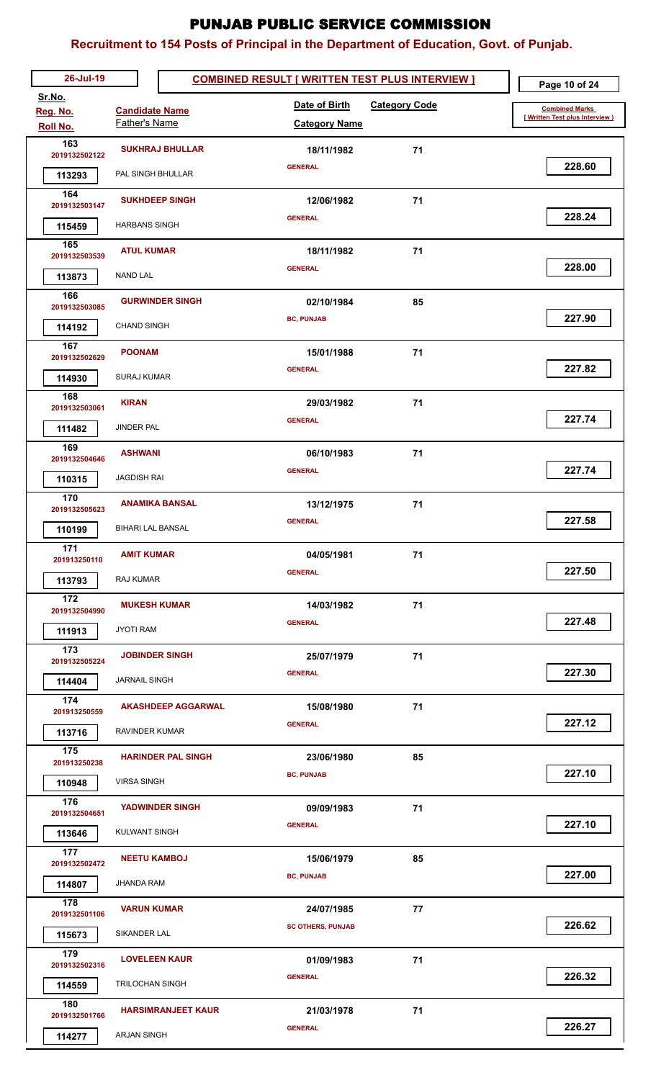| 26-Jul-19               |                           | <b>COMBINED RESULT [ WRITTEN TEST PLUS INTERVIEW ]</b> | Page 10 of 24                   |
|-------------------------|---------------------------|--------------------------------------------------------|---------------------------------|
| Sr.No.<br>Reg. No.      | <b>Candidate Name</b>     | Date of Birth<br><b>Category Code</b>                  | <b>Combined Marks</b>           |
| Roll No.                | Father's Name             | <b>Category Name</b>                                   | [ Written Test plus Interview ) |
| 163<br>2019132502122    | <b>SUKHRAJ BHULLAR</b>    | 71<br>18/11/1982                                       |                                 |
| 113293                  | PAL SINGH BHULLAR         | <b>GENERAL</b>                                         | 228.60                          |
| 164                     | <b>SUKHDEEP SINGH</b>     | 71<br>12/06/1982                                       |                                 |
| 2019132503147           | <b>HARBANS SINGH</b>      | <b>GENERAL</b>                                         | 228.24                          |
| 115459<br>165           |                           |                                                        |                                 |
| 2019132503539           | <b>ATUL KUMAR</b>         | 71<br>18/11/1982<br><b>GENERAL</b>                     | 228.00                          |
| 113873                  | <b>NAND LAL</b>           |                                                        |                                 |
| 166<br>2019132503085    | <b>GURWINDER SINGH</b>    | 85<br>02/10/1984                                       |                                 |
| 114192                  | <b>CHAND SINGH</b>        | <b>BC, PUNJAB</b>                                      | 227.90                          |
| 167<br>2019132502629    | <b>POONAM</b>             | 15/01/1988<br>71                                       |                                 |
| 114930                  | <b>SURAJ KUMAR</b>        | <b>GENERAL</b>                                         | 227.82                          |
| 168                     |                           |                                                        |                                 |
| 2019132503061           | <b>KIRAN</b>              | 71<br>29/03/1982<br><b>GENERAL</b>                     | 227.74                          |
| 111482                  | <b>JINDER PAL</b>         |                                                        |                                 |
| 169<br>2019132504646    | <b>ASHWANI</b>            | 06/10/1983<br>71                                       |                                 |
| 110315                  | <b>JAGDISH RAI</b>        | <b>GENERAL</b>                                         | 227.74                          |
| 170<br>2019132505623    | <b>ANAMIKA BANSAL</b>     | 71<br>13/12/1975                                       |                                 |
| 110199                  | <b>BIHARI LAL BANSAL</b>  | <b>GENERAL</b>                                         | 227.58                          |
| 171                     | <b>AMIT KUMAR</b>         | 04/05/1981<br>71                                       |                                 |
| 201913250110<br>113793  | RAJ KUMAR                 | <b>GENERAL</b>                                         | 227.50                          |
| 172                     |                           |                                                        |                                 |
| 2019132504990           | <b>MUKESH KUMAR</b>       | 14/03/1982<br>71<br><b>GENERAL</b>                     | 227.48                          |
| 111913                  | <b>JYOTI RAM</b>          |                                                        |                                 |
| 173<br>2019132505224    | <b>JOBINDER SINGH</b>     | 71<br>25/07/1979                                       |                                 |
| 114404                  | <b>JARNAIL SINGH</b>      | <b>GENERAL</b>                                         | 227.30                          |
| 174<br>201913250559     | <b>AKASHDEEP AGGARWAL</b> | 71<br>15/08/1980                                       |                                 |
| 113716                  | RAVINDER KUMAR            | <b>GENERAL</b>                                         | 227.12                          |
| 175                     | <b>HARINDER PAL SINGH</b> | 23/06/1980<br>85                                       |                                 |
| 201913250238            |                           | <b>BC, PUNJAB</b>                                      | 227.10                          |
| 110948<br>176           | <b>VIRSA SINGH</b>        |                                                        |                                 |
| 2019132504651           | <b>YADWINDER SINGH</b>    | 71<br>09/09/1983                                       | 227.10                          |
| 113646                  | <b>KULWANT SINGH</b>      | <b>GENERAL</b>                                         |                                 |
| 177<br>2019132502472    | <b>NEETU KAMBOJ</b>       | 85<br>15/06/1979                                       |                                 |
| 114807                  | JHANDA RAM                | <b>BC, PUNJAB</b>                                      | 227.00                          |
| 178                     | <b>VARUN KUMAR</b>        | 77<br>24/07/1985                                       |                                 |
| 2019132501106<br>115673 | SIKANDER LAL              | <b>SC OTHERS, PUNJAB</b>                               | 226.62                          |
| 179                     |                           |                                                        |                                 |
| 2019132502316           | <b>LOVELEEN KAUR</b>      | 01/09/1983<br>71<br><b>GENERAL</b>                     | 226.32                          |
| 114559                  | TRILOCHAN SINGH           |                                                        |                                 |
| 180<br>2019132501766    | <b>HARSIMRANJEET KAUR</b> | 71<br>21/03/1978                                       |                                 |
| 114277                  | ARJAN SINGH               | <b>GENERAL</b>                                         | 226.27                          |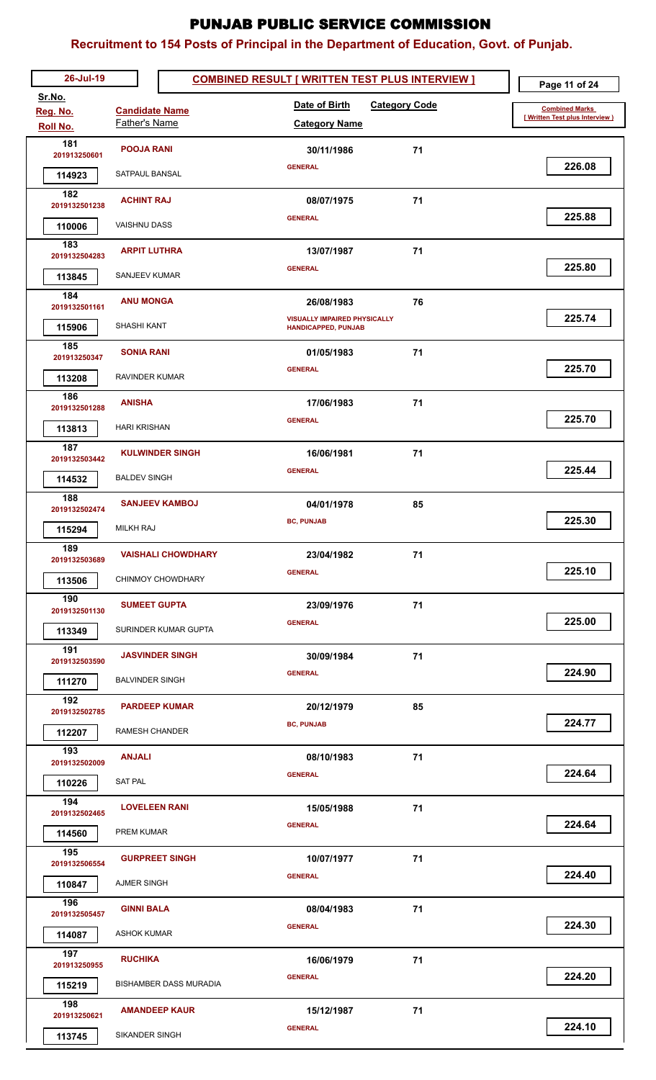| 26-Jul-19               |                           | <b>COMBINED RESULT [ WRITTEN TEST PLUS INTERVIEW ]</b> | Page 11 of 24                      |
|-------------------------|---------------------------|--------------------------------------------------------|------------------------------------|
| Sr.No.<br>Reg. No.      | <b>Candidate Name</b>     | Date of Birth<br><b>Category Code</b>                  | <b>Combined Marks</b>              |
| Roll No.                | Father's Name             | <b>Category Name</b>                                   | [Written Test plus Interview ]     |
| 181                     | <b>POOJA RANI</b>         | 71<br>30/11/1986                                       |                                    |
| 201913250601            | SATPAUL BANSAL            | <b>GENERAL</b>                                         | 226.08                             |
| 114923<br>182           |                           |                                                        |                                    |
| 2019132501238           | <b>ACHINT RAJ</b>         | 71<br>08/07/1975                                       |                                    |
| 110006                  | <b>VAISHNU DASS</b>       | <b>GENERAL</b>                                         | 225.88                             |
| 183<br>2019132504283    | <b>ARPIT LUTHRA</b>       | 71<br>13/07/1987                                       |                                    |
| 113845                  | SANJEEV KUMAR             | <b>GENERAL</b>                                         | 225.80                             |
| 184                     | <b>ANU MONGA</b>          | 76<br>26/08/1983                                       |                                    |
| 2019132501161           | <b>SHASHI KANT</b>        | <b>VISUALLY IMPAIRED PHYSICALLY</b>                    | 225.74                             |
| 115906<br>185           |                           | <b>HANDICAPPED, PUNJAB</b>                             |                                    |
| 201913250347            | <b>SONIA RANI</b>         | 71<br>01/05/1983<br><b>GENERAL</b>                     | 225.70                             |
| 113208                  | RAVINDER KUMAR            |                                                        |                                    |
| 186<br>2019132501288    | <b>ANISHA</b>             | 17/06/1983<br>71                                       |                                    |
| 113813                  | <b>HARI KRISHAN</b>       | <b>GENERAL</b>                                         | 225.70                             |
| 187                     | <b>KULWINDER SINGH</b>    | 71<br>16/06/1981                                       |                                    |
| 2019132503442<br>114532 | <b>BALDEV SINGH</b>       | <b>GENERAL</b>                                         | 225.44                             |
| 188                     |                           |                                                        |                                    |
| 2019132502474           | <b>SANJEEV KAMBOJ</b>     | 04/01/1978<br>85<br><b>BC, PUNJAB</b>                  | 225.30                             |
| 115294                  | <b>MILKH RAJ</b>          |                                                        |                                    |
| 189<br>2019132503689    | <b>VAISHALI CHOWDHARY</b> | 23/04/1982<br>71                                       |                                    |
| 113506                  | CHINMOY CHOWDHARY         | <b>GENERAL</b>                                         | 225.10                             |
| 190<br>2019132501130    | <b>SUMEET GUPTA</b>       | 71<br>23/09/1976                                       |                                    |
| 113349                  | SURINDER KUMAR GUPTA      | <b>GENERAL</b>                                         | 225.00                             |
| 191<br>2019132503590    | <b>JASVINDER SINGH</b>    | 71<br>30/09/1984                                       |                                    |
| 111270                  | <b>BALVINDER SINGH</b>    | <b>GENERAL</b>                                         | 224.90                             |
| 192                     |                           |                                                        |                                    |
| 2019132502785           | <b>PARDEEP KUMAR</b>      | 85<br>20/12/1979<br><b>BC, PUNJAB</b>                  | 224.77                             |
| 112207                  | <b>RAMESH CHANDER</b>     |                                                        |                                    |
| 193<br>2019132502009    | <b>ANJALI</b>             | 71<br>08/10/1983                                       |                                    |
| 110226                  | <b>SAT PAL</b>            | <b>GENERAL</b>                                         | 224.64                             |
| 194<br>2019132502465    | <b>LOVELEEN RANI</b>      | 71<br>15/05/1988                                       |                                    |
| 114560                  | PREM KUMAR                | <b>GENERAL</b>                                         | 224.64                             |
| 195                     | <b>GURPREET SINGH</b>     | 71<br>10/07/1977                                       |                                    |
| 2019132506554           |                           | <b>GENERAL</b>                                         | 224.40                             |
| 110847<br>196           | AJMER SINGH               |                                                        |                                    |
| 2019132505457           | <b>GINNI BALA</b>         | 08/04/1983<br>71                                       |                                    |
| 114087                  | <b>ASHOK KUMAR</b>        | <b>GENERAL</b>                                         | 224.30                             |
| 197<br>201913250955     | <b>RUCHIKA</b>            | 16/06/1979<br>71                                       |                                    |
| 115219                  | BISHAMBER DASS MURADIA    | <b>GENERAL</b>                                         | 224.20                             |
| 198<br>201913250621     | <b>AMANDEEP KAUR</b>      | 15/12/1987<br>71                                       |                                    |
| 113745                  | SIKANDER SINGH            | <b>GENERAL</b>                                         | 224.10<br>$\overline{\phantom{a}}$ |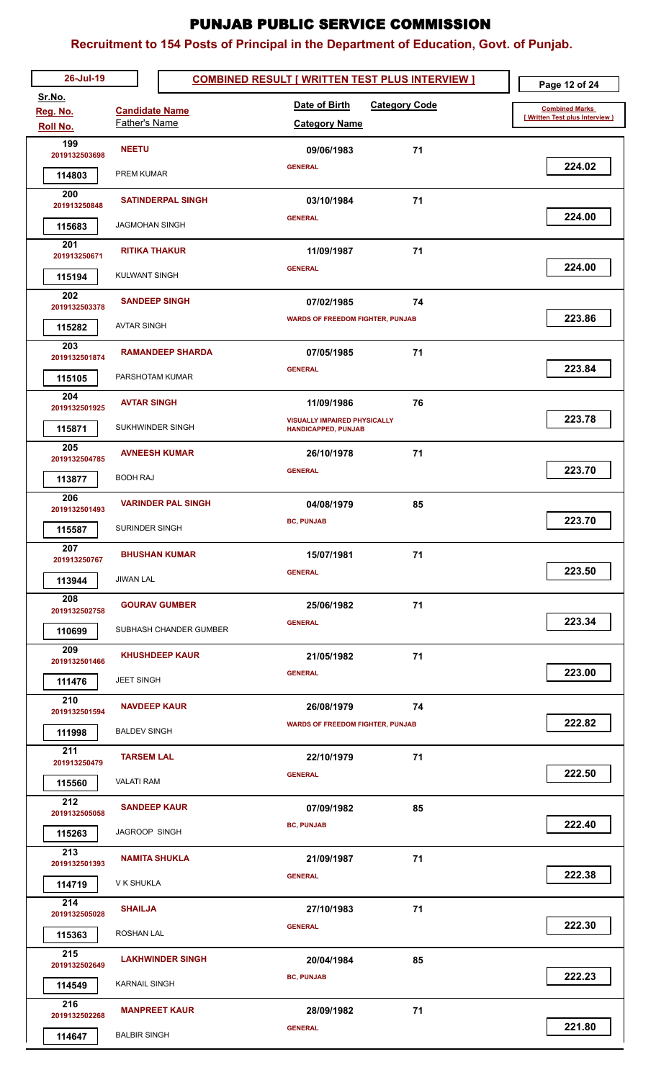| 26-Jul-19               |                           | <b>COMBINED RESULT [ WRITTEN TEST PLUS INTERVIEW ]</b>      | Page 12 of 24                  |
|-------------------------|---------------------------|-------------------------------------------------------------|--------------------------------|
| Sr.No.<br>Reg. No.      | <b>Candidate Name</b>     | Date of Birth<br><b>Category Code</b>                       | <b>Combined Marks</b>          |
| Roll No.                | Father's Name             | <b>Category Name</b>                                        | [Written Test plus Interview ] |
| 199                     | <b>NEETU</b>              | 09/06/1983<br>71                                            |                                |
| 2019132503698           | PREM KUMAR                | <b>GENERAL</b>                                              | 224.02                         |
| 114803<br>200           |                           |                                                             |                                |
| 201913250848            | <b>SATINDERPAL SINGH</b>  | 71<br>03/10/1984                                            |                                |
| 115683                  | <b>JAGMOHAN SINGH</b>     | <b>GENERAL</b>                                              | 224.00                         |
| 201<br>201913250671     | <b>RITIKA THAKUR</b>      | 71<br>11/09/1987                                            |                                |
| 115194                  | <b>KULWANT SINGH</b>      | <b>GENERAL</b>                                              | 224.00                         |
| 202                     |                           |                                                             |                                |
| 2019132503378           | <b>SANDEEP SINGH</b>      | 07/02/1985<br>74<br><b>WARDS OF FREEDOM FIGHTER, PUNJAB</b> | 223.86                         |
| 115282                  | <b>AVTAR SINGH</b>        |                                                             |                                |
| 203<br>2019132501874    | <b>RAMANDEEP SHARDA</b>   | 07/05/1985<br>71                                            |                                |
| 115105                  | PARSHOTAM KUMAR           | <b>GENERAL</b>                                              | 223.84                         |
| 204                     | <b>AVTAR SINGH</b>        | 11/09/1986<br>76                                            |                                |
| 2019132501925           |                           | <b>VISUALLY IMPAIRED PHYSICALLY</b>                         | 223.78                         |
| 115871                  | SUKHWINDER SINGH          | <b>HANDICAPPED, PUNJAB</b>                                  |                                |
| 205<br>2019132504785    | <b>AVNEESH KUMAR</b>      | 71<br>26/10/1978                                            |                                |
| 113877                  | <b>BODH RAJ</b>           | <b>GENERAL</b>                                              | 223.70                         |
| 206                     | <b>VARINDER PAL SINGH</b> | 04/08/1979<br>85                                            |                                |
| 2019132501493<br>115587 | <b>SURINDER SINGH</b>     | <b>BC, PUNJAB</b>                                           | 223.70                         |
| 207                     |                           |                                                             |                                |
| 201913250767            | <b>BHUSHAN KUMAR</b>      | 15/07/1981<br>71<br><b>GENERAL</b>                          | 223.50                         |
| 113944                  | JIWAN LAL                 |                                                             |                                |
| 208<br>2019132502758    | <b>GOURAV GUMBER</b>      | 71<br>25/06/1982                                            |                                |
| 110699                  | SUBHASH CHANDER GUMBER    | <b>GENERAL</b>                                              | 223.34                         |
| 209                     | <b>KHUSHDEEP KAUR</b>     | 71<br>21/05/1982                                            |                                |
| 2019132501466           | <b>JEET SINGH</b>         | <b>GENERAL</b>                                              | 223.00                         |
| 111476<br>210           |                           |                                                             |                                |
| 2019132501594           | <b>NAVDEEP KAUR</b>       | 26/08/1979<br>74                                            | 222.82                         |
| 111998                  | <b>BALDEV SINGH</b>       | <b>WARDS OF FREEDOM FIGHTER, PUNJAB</b>                     |                                |
| 211<br>201913250479     | <b>TARSEM LAL</b>         | 71<br>22/10/1979                                            |                                |
| 115560                  | <b>VALATI RAM</b>         | <b>GENERAL</b>                                              | 222.50                         |
| 212                     | <b>SANDEEP KAUR</b>       | 85<br>07/09/1982                                            |                                |
| 2019132505058           |                           | <b>BC, PUNJAB</b>                                           | 222.40                         |
| 115263                  | <b>JAGROOP SINGH</b>      |                                                             |                                |
| 213<br>2019132501393    | <b>NAMITA SHUKLA</b>      | 71<br>21/09/1987                                            |                                |
| 114719                  | V K SHUKLA                | <b>GENERAL</b>                                              | 222.38                         |
| 214<br>2019132505028    | <b>SHAILJA</b>            | 27/10/1983<br>71                                            |                                |
| 115363                  | ROSHAN LAL                | <b>GENERAL</b>                                              | 222.30                         |
| 215                     | <b>LAKHWINDER SINGH</b>   | 20/04/1984<br>85                                            |                                |
| 2019132502649           |                           | <b>BC, PUNJAB</b>                                           | 222.23                         |
| 114549                  | <b>KARNAIL SINGH</b>      |                                                             |                                |
| 216<br>2019132502268    | <b>MANPREET KAUR</b>      | 28/09/1982<br>71                                            |                                |
| 114647                  | <b>BALBIR SINGH</b>       | <b>GENERAL</b>                                              | 221.80                         |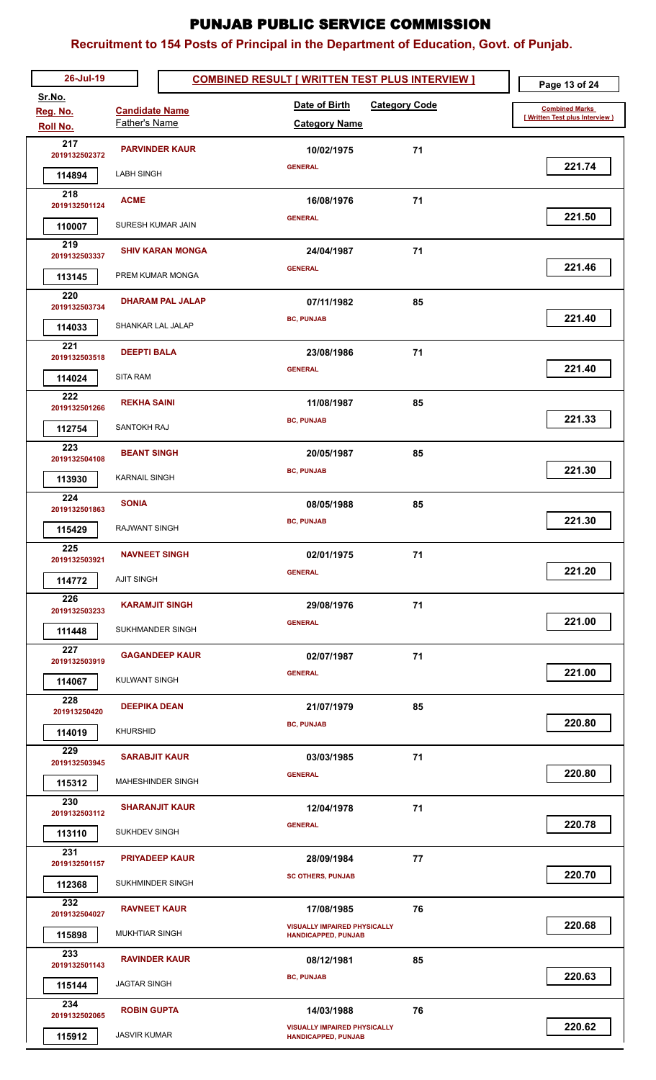| 26-Jul-19            |                                        | <b>COMBINED RESULT [ WRITTEN TEST PLUS INTERVIEW ]</b> | Page 13 of 24                  |
|----------------------|----------------------------------------|--------------------------------------------------------|--------------------------------|
| Sr.No.               |                                        | Date of Birth<br><b>Category Code</b>                  | <b>Combined Marks</b>          |
| Reg. No.<br>Roll No. | <b>Candidate Name</b><br>Father's Name | <b>Category Name</b>                                   | [Written Test plus Interview ] |
| 217                  | <b>PARVINDER KAUR</b>                  | 71<br>10/02/1975                                       |                                |
| 2019132502372        |                                        | <b>GENERAL</b>                                         | 221.74                         |
| 114894               | <b>LABH SINGH</b>                      |                                                        |                                |
| 218<br>2019132501124 | <b>ACME</b>                            | 16/08/1976<br>71                                       |                                |
| 110007               | SURESH KUMAR JAIN                      | <b>GENERAL</b>                                         | 221.50                         |
| 219                  |                                        |                                                        |                                |
| 2019132503337        | <b>SHIV KARAN MONGA</b>                | 71<br>24/04/1987<br><b>GENERAL</b>                     | 221.46                         |
| 113145               | PREM KUMAR MONGA                       |                                                        |                                |
| 220<br>2019132503734 | <b>DHARAM PAL JALAP</b>                | 07/11/1982<br>85                                       |                                |
| 114033               | <b>SHANKAR LAL JALAP</b>               | <b>BC, PUNJAB</b>                                      | 221.40                         |
| 221                  | <b>DEEPTI BALA</b>                     | 23/08/1986<br>71                                       |                                |
| 2019132503518        |                                        | <b>GENERAL</b>                                         | 221.40                         |
| 114024               | <b>SITA RAM</b>                        |                                                        |                                |
| 222<br>2019132501266 | <b>REKHA SAINI</b>                     | 11/08/1987<br>85                                       |                                |
| 112754               | <b>SANTOKH RAJ</b>                     | <b>BC, PUNJAB</b>                                      | 221.33                         |
| 223                  | <b>BEANT SINGH</b>                     | 85<br>20/05/1987                                       |                                |
| 2019132504108        |                                        | <b>BC, PUNJAB</b>                                      | 221.30                         |
| 113930               | <b>KARNAIL SINGH</b>                   |                                                        |                                |
| 224<br>2019132501863 | <b>SONIA</b>                           | 08/05/1988<br>85                                       |                                |
| 115429               | <b>RAJWANT SINGH</b>                   | <b>BC, PUNJAB</b>                                      | 221.30                         |
| 225                  | <b>NAVNEET SINGH</b>                   | 02/01/1975<br>71                                       |                                |
| 2019132503921        |                                        | <b>GENERAL</b>                                         | 221.20                         |
| 114772               | <b>AJIT SINGH</b>                      |                                                        |                                |
| 226<br>2019132503233 | <b>KARAMJIT SINGH</b>                  | 71<br>29/08/1976                                       |                                |
| 111448               | SUKHMANDER SINGH                       | <b>GENERAL</b>                                         | 221.00                         |
| 227                  | <b>GAGANDEEP KAUR</b>                  | 71<br>02/07/1987                                       |                                |
| 2019132503919        | <b>KULWANT SINGH</b>                   | <b>GENERAL</b>                                         | 221.00                         |
| 114067<br>228        |                                        |                                                        |                                |
| 201913250420         | <b>DEEPIKA DEAN</b>                    | 85<br>21/07/1979                                       |                                |
| 114019               | <b>KHURSHID</b>                        | <b>BC, PUNJAB</b>                                      | 220.80                         |
| 229<br>2019132503945 | <b>SARABJIT KAUR</b>                   | 71<br>03/03/1985                                       |                                |
| 115312               | MAHESHINDER SINGH                      | <b>GENERAL</b>                                         | 220.80                         |
| 230                  |                                        |                                                        |                                |
| 2019132503112        | <b>SHARANJIT KAUR</b>                  | 12/04/1978<br>71<br><b>GENERAL</b>                     | 220.78                         |
| 113110               | SUKHDEV SINGH                          |                                                        |                                |
| 231<br>2019132501157 | <b>PRIYADEEP KAUR</b>                  | 77<br>28/09/1984                                       |                                |
| 112368               | SUKHMINDER SINGH                       | <b>SC OTHERS, PUNJAB</b>                               | 220.70                         |
| 232                  | <b>RAVNEET KAUR</b>                    | 17/08/1985<br>76                                       |                                |
| 2019132504027        |                                        | <b>VISUALLY IMPAIRED PHYSICALLY</b>                    | 220.68                         |
| 115898               | <b>MUKHTIAR SINGH</b>                  | <b>HANDICAPPED, PUNJAB</b>                             |                                |
| 233<br>2019132501143 | <b>RAVINDER KAUR</b>                   | 08/12/1981<br>85                                       |                                |
| 115144               | JAGTAR SINGH                           | <b>BC, PUNJAB</b>                                      | 220.63                         |
| 234                  | <b>ROBIN GUPTA</b>                     | 14/03/1988<br>76                                       |                                |
| 2019132502065        |                                        | <b>VISUALLY IMPAIRED PHYSICALLY</b>                    | 220.62                         |
| 115912               | <b>JASVIR KUMAR</b>                    | <b>HANDICAPPED, PUNJAB</b>                             |                                |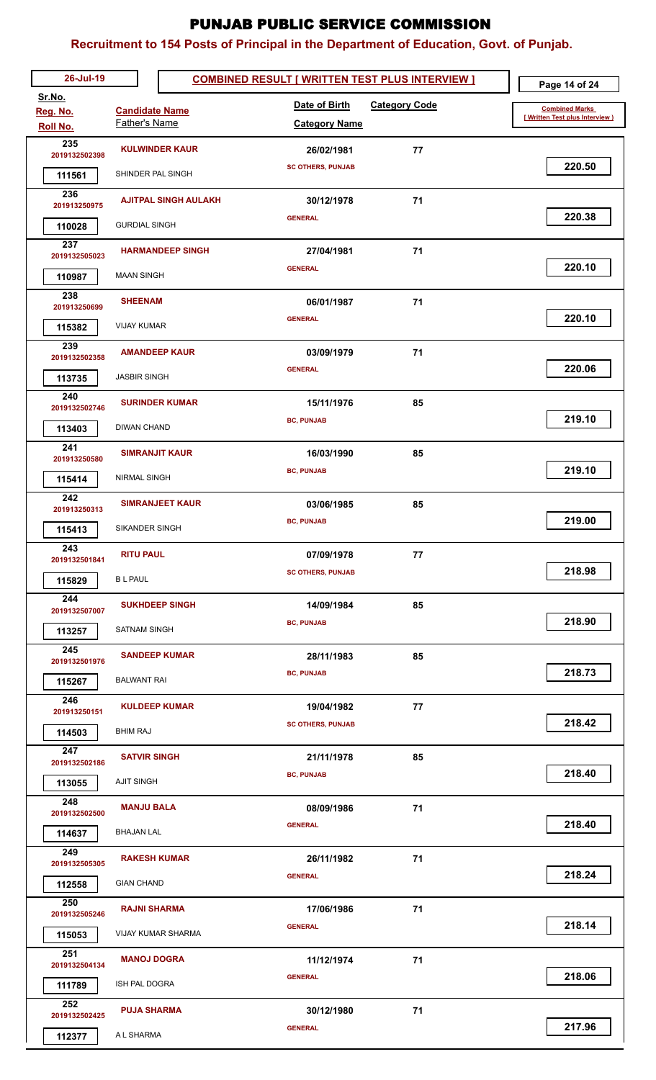| 26-Jul-19            |                             | <b>COMBINED RESULT [ WRITTEN TEST PLUS INTERVIEW ]</b> | Page 14 of 24                  |
|----------------------|-----------------------------|--------------------------------------------------------|--------------------------------|
| Sr.No.<br>Reg. No.   | <b>Candidate Name</b>       | Date of Birth<br><b>Category Code</b>                  | <b>Combined Marks</b>          |
| Roll No.             | Father's Name               | <b>Category Name</b>                                   | [Written Test plus Interview ] |
| 235                  | <b>KULWINDER KAUR</b>       | 26/02/1981<br>77                                       |                                |
| 2019132502398        |                             | <b>SC OTHERS, PUNJAB</b>                               | 220.50                         |
| 111561<br>236        | SHINDER PAL SINGH           |                                                        |                                |
| 201913250975         | <b>AJITPAL SINGH AULAKH</b> | 71<br>30/12/1978                                       |                                |
| 110028               | <b>GURDIAL SINGH</b>        | <b>GENERAL</b>                                         | 220.38                         |
| 237<br>2019132505023 | <b>HARMANDEEP SINGH</b>     | 27/04/1981<br>71                                       |                                |
| 110987               | <b>MAAN SINGH</b>           | <b>GENERAL</b>                                         | 220.10                         |
| 238                  |                             |                                                        |                                |
| 201913250699         | <b>SHEENAM</b>              | 71<br>06/01/1987<br><b>GENERAL</b>                     | 220.10                         |
| 115382               | <b>VIJAY KUMAR</b>          |                                                        |                                |
| 239<br>2019132502358 | <b>AMANDEEP KAUR</b>        | 03/09/1979<br>71                                       |                                |
| 113735               | <b>JASBIR SINGH</b>         | <b>GENERAL</b>                                         | 220.06                         |
| 240                  | <b>SURINDER KUMAR</b>       | 85<br>15/11/1976                                       |                                |
| 2019132502746        | <b>DIWAN CHAND</b>          | <b>BC, PUNJAB</b>                                      | 219.10                         |
| 113403<br>241        |                             |                                                        |                                |
| 201913250580         | <b>SIMRANJIT KAUR</b>       | 16/03/1990<br>85                                       | 219.10                         |
| 115414               | <b>NIRMAL SINGH</b>         | <b>BC, PUNJAB</b>                                      |                                |
| 242<br>201913250313  | <b>SIMRANJEET KAUR</b>      | 85<br>03/06/1985                                       |                                |
| 115413               | <b>SIKANDER SINGH</b>       | <b>BC, PUNJAB</b>                                      | 219.00                         |
| 243                  | <b>RITU PAUL</b>            |                                                        |                                |
| 2019132501841        |                             | 07/09/1978<br>77<br><b>SC OTHERS, PUNJAB</b>           | 218.98                         |
| 115829               | <b>BL PAUL</b>              |                                                        |                                |
| 244<br>2019132507007 | <b>SUKHDEEP SINGH</b>       | 85<br>14/09/1984                                       |                                |
| 113257               | <b>SATNAM SINGH</b>         | <b>BC, PUNJAB</b>                                      | 218.90                         |
| 245<br>2019132501976 | <b>SANDEEP KUMAR</b>        | 28/11/1983<br>85                                       |                                |
| 115267               | <b>BALWANT RAI</b>          | <b>BC, PUNJAB</b>                                      | 218.73                         |
| 246                  |                             |                                                        |                                |
| 201913250151         | <b>KULDEEP KUMAR</b>        | 77<br>19/04/1982                                       | 218.42                         |
| 114503               | <b>BHIM RAJ</b>             | <b>SC OTHERS, PUNJAB</b>                               |                                |
| 247<br>2019132502186 | <b>SATVIR SINGH</b>         | 21/11/1978<br>85                                       |                                |
| 113055               | <b>AJIT SINGH</b>           | <b>BC, PUNJAB</b>                                      | 218.40                         |
| 248                  | <b>MANJU BALA</b>           | 71<br>08/09/1986                                       |                                |
| 2019132502500        |                             | <b>GENERAL</b>                                         | 218.40                         |
| 114637               | <b>BHAJAN LAL</b>           |                                                        |                                |
| 249<br>2019132505305 | <b>RAKESH KUMAR</b>         | 26/11/1982<br>71                                       |                                |
| 112558               | <b>GIAN CHAND</b>           | <b>GENERAL</b>                                         | 218.24                         |
| 250<br>2019132505246 | <b>RAJNI SHARMA</b>         | 71<br>17/06/1986                                       |                                |
| 115053               | VIJAY KUMAR SHARMA          | <b>GENERAL</b>                                         | 218.14                         |
| 251                  |                             |                                                        |                                |
| 2019132504134        | <b>MANOJ DOGRA</b>          | 71<br>11/12/1974<br><b>GENERAL</b>                     | 218.06                         |
| 111789               | <b>ISH PAL DOGRA</b>        |                                                        |                                |
| 252<br>2019132502425 | <b>PUJA SHARMA</b>          | 30/12/1980<br>71                                       |                                |
| 112377               | A L SHARMA                  | <b>GENERAL</b>                                         | 217.96                         |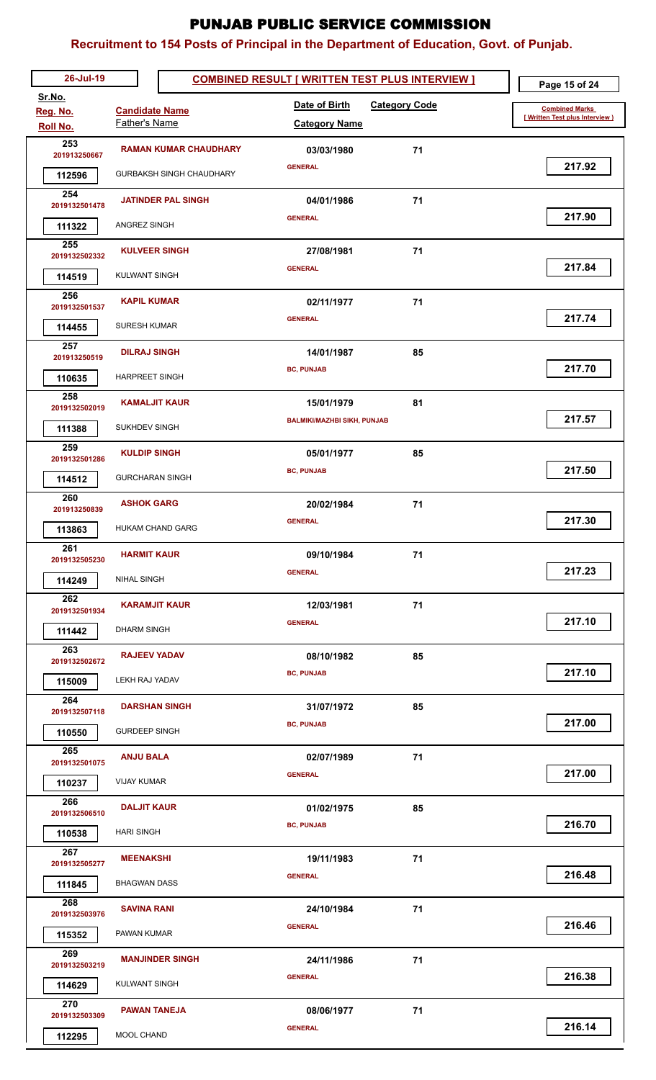| 26-Jul-19               |                                 | <b>COMBINED RESULT [ WRITTEN TEST PLUS INTERVIEW ]</b> | Page 15 of 24                  |
|-------------------------|---------------------------------|--------------------------------------------------------|--------------------------------|
| Sr.No.                  | <b>Candidate Name</b>           | Date of Birth<br><b>Category Code</b>                  | <b>Combined Marks</b>          |
| Reg. No.<br>Roll No.    | Father's Name                   | <b>Category Name</b>                                   | [Written Test plus Interview ] |
| 253                     | <b>RAMAN KUMAR CHAUDHARY</b>    | 71<br>03/03/1980                                       |                                |
| 201913250667            |                                 | <b>GENERAL</b>                                         | 217.92                         |
| 112596                  | <b>GURBAKSH SINGH CHAUDHARY</b> |                                                        |                                |
| 254<br>2019132501478    | <b>JATINDER PAL SINGH</b>       | 71<br>04/01/1986                                       |                                |
| 111322                  | ANGREZ SINGH                    | <b>GENERAL</b>                                         | 217.90                         |
| 255<br>2019132502332    | <b>KULVEER SINGH</b>            | 27/08/1981<br>71                                       |                                |
| 114519                  | <b>KULWANT SINGH</b>            | <b>GENERAL</b>                                         | 217.84                         |
| 256<br>2019132501537    | <b>KAPIL KUMAR</b>              | 71<br>02/11/1977                                       |                                |
| 114455                  | <b>SURESH KUMAR</b>             | <b>GENERAL</b>                                         | 217.74                         |
| 257                     | <b>DILRAJ SINGH</b>             | 14/01/1987<br>85                                       |                                |
| 201913250519            |                                 | <b>BC, PUNJAB</b>                                      | 217.70                         |
| 110635                  | <b>HARPREET SINGH</b>           |                                                        |                                |
| 258<br>2019132502019    | <b>KAMALJIT KAUR</b>            | 81<br>15/01/1979                                       |                                |
| 111388                  | SUKHDEV SINGH                   | <b>BALMIKI/MAZHBI SIKH, PUNJAB</b>                     | 217.57                         |
| 259<br>2019132501286    | <b>KULDIP SINGH</b>             | 05/01/1977<br>85                                       |                                |
| 114512                  | <b>GURCHARAN SINGH</b>          | <b>BC, PUNJAB</b>                                      | 217.50                         |
| 260<br>201913250839     | <b>ASHOK GARG</b>               | 71<br>20/02/1984                                       |                                |
| 113863                  | <b>HUKAM CHAND GARG</b>         | <b>GENERAL</b>                                         | 217.30                         |
| 261<br>2019132505230    | <b>HARMIT KAUR</b>              | 09/10/1984<br>71                                       |                                |
| 114249                  | <b>NIHAL SINGH</b>              | <b>GENERAL</b>                                         | 217.23                         |
| 262<br>2019132501934    | <b>KARAMJIT KAUR</b>            | 71<br>12/03/1981                                       |                                |
| 111442                  | <b>DHARM SINGH</b>              | <b>GENERAL</b>                                         | 217.10                         |
| 263                     | <b>RAJEEV YADAV</b>             | 08/10/1982<br>85                                       |                                |
| 2019132502672           |                                 | <b>BC, PUNJAB</b>                                      | 217.10                         |
| 115009                  | LEKH RAJ YADAV                  |                                                        |                                |
| 264<br>2019132507118    | <b>DARSHAN SINGH</b>            | 85<br>31/07/1972                                       |                                |
| 110550                  | <b>GURDEEP SINGH</b>            | <b>BC, PUNJAB</b>                                      | 217.00                         |
| 265<br>2019132501075    | <b>ANJU BALA</b>                | 71<br>02/07/1989                                       |                                |
| 110237                  | <b>VIJAY KUMAR</b>              | <b>GENERAL</b>                                         | 217.00                         |
| 266<br>2019132506510    | <b>DALJIT KAUR</b>              | 85<br>01/02/1975                                       |                                |
| 110538                  | <b>HARI SINGH</b>               | <b>BC, PUNJAB</b>                                      | 216.70                         |
| 267                     | <b>MEENAKSHI</b>                | 19/11/1983<br>71                                       |                                |
| 2019132505277<br>111845 | <b>BHAGWAN DASS</b>             | <b>GENERAL</b>                                         | 216.48                         |
| 268                     | <b>SAVINA RANI</b>              | 71<br>24/10/1984                                       |                                |
| 2019132503976           | PAWAN KUMAR                     | <b>GENERAL</b>                                         | 216.46                         |
| 115352<br>269           |                                 |                                                        |                                |
| 2019132503219           | <b>MANJINDER SINGH</b>          | 71<br>24/11/1986                                       | 216.38                         |
| 114629                  | <b>KULWANT SINGH</b>            | <b>GENERAL</b>                                         |                                |
| 270<br>2019132503309    | <b>PAWAN TANEJA</b>             | 08/06/1977<br>71                                       |                                |
| 112295                  | MOOL CHAND                      | <b>GENERAL</b>                                         | 216.14                         |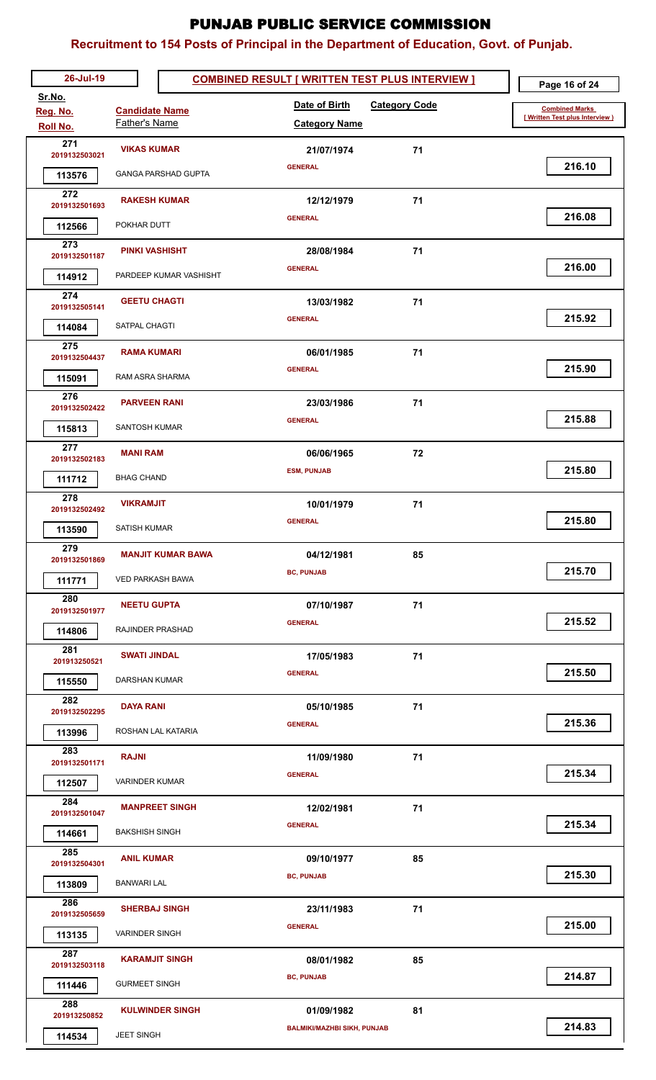| 26-Jul-19               |                            | <b>COMBINED RESULT [ WRITTEN TEST PLUS INTERVIEW ]</b> |                      | Page 16 of 24                   |
|-------------------------|----------------------------|--------------------------------------------------------|----------------------|---------------------------------|
| Sr.No.<br>Reg. No.      | <b>Candidate Name</b>      | Date of Birth                                          | <b>Category Code</b> | <b>Combined Marks</b>           |
| Roll No.                | Father's Name              | <b>Category Name</b>                                   |                      | [ Written Test plus Interview ) |
| 271<br>2019132503021    | <b>VIKAS KUMAR</b>         | 21/07/1974                                             | 71                   |                                 |
| 113576                  | <b>GANGA PARSHAD GUPTA</b> | <b>GENERAL</b>                                         |                      | 216.10                          |
| 272                     | <b>RAKESH KUMAR</b>        | 12/12/1979                                             | 71                   |                                 |
| 2019132501693           |                            | <b>GENERAL</b>                                         |                      | 216.08                          |
| 112566<br>273           | POKHAR DUTT                |                                                        |                      |                                 |
| 2019132501187           | <b>PINKI VASHISHT</b>      | 28/08/1984<br><b>GENERAL</b>                           | 71                   | 216.00                          |
| 114912                  | PARDEEP KUMAR VASHISHT     |                                                        |                      |                                 |
| 274<br>2019132505141    | <b>GEETU CHAGTI</b>        | 13/03/1982                                             | 71                   |                                 |
| 114084                  | SATPAL CHAGTI              | <b>GENERAL</b>                                         |                      | 215.92                          |
| 275                     | <b>RAMA KUMARI</b>         | 06/01/1985                                             | 71                   |                                 |
| 2019132504437<br>115091 | RAM ASRA SHARMA            | <b>GENERAL</b>                                         |                      | 215.90                          |
| 276                     |                            |                                                        |                      |                                 |
| 2019132502422           | <b>PARVEEN RANI</b>        | 23/03/1986<br><b>GENERAL</b>                           | 71                   | 215.88                          |
| 115813                  | SANTOSH KUMAR              |                                                        |                      |                                 |
| 277<br>2019132502183    | <b>MANI RAM</b>            | 06/06/1965                                             | 72                   |                                 |
| 111712                  | <b>BHAG CHAND</b>          | <b>ESM, PUNJAB</b>                                     |                      | 215.80                          |
| 278<br>2019132502492    | <b>VIKRAMJIT</b>           | 10/01/1979                                             | 71                   |                                 |
| 113590                  | <b>SATISH KUMAR</b>        | <b>GENERAL</b>                                         |                      | 215.80                          |
| 279                     | <b>MANJIT KUMAR BAWA</b>   | 04/12/1981                                             | 85                   |                                 |
| 2019132501869           |                            | <b>BC, PUNJAB</b>                                      |                      | 215.70                          |
| 111771                  | <b>VED PARKASH BAWA</b>    |                                                        |                      |                                 |
| 280<br>2019132501977    | <b>NEETU GUPTA</b>         | 07/10/1987                                             | 71                   |                                 |
| 114806                  | RAJINDER PRASHAD           | <b>GENERAL</b>                                         |                      | 215.52                          |
| 281<br>201913250521     | <b>SWATI JINDAL</b>        | 17/05/1983                                             | 71                   |                                 |
| 115550                  | DARSHAN KUMAR              | <b>GENERAL</b>                                         |                      | 215.50                          |
| 282                     | <b>DAYA RANI</b>           | 05/10/1985                                             | 71                   |                                 |
| 2019132502295           | ROSHAN LAL KATARIA         | <b>GENERAL</b>                                         |                      | 215.36                          |
| 113996<br>283           |                            |                                                        |                      |                                 |
| 2019132501171           | <b>RAJNI</b>               | 11/09/1980<br><b>GENERAL</b>                           | 71                   | 215.34                          |
| 112507                  | <b>VARINDER KUMAR</b>      |                                                        |                      |                                 |
| 284<br>2019132501047    | <b>MANPREET SINGH</b>      | 12/02/1981                                             | 71                   |                                 |
| 114661                  | <b>BAKSHISH SINGH</b>      | <b>GENERAL</b>                                         |                      | 215.34                          |
| 285<br>2019132504301    | <b>ANIL KUMAR</b>          | 09/10/1977                                             | 85                   |                                 |
| 113809                  | <b>BANWARI LAL</b>         | <b>BC, PUNJAB</b>                                      |                      | 215.30                          |
| 286                     | <b>SHERBAJ SINGH</b>       | 23/11/1983                                             | 71                   |                                 |
| 2019132505659           |                            | <b>GENERAL</b>                                         |                      | 215.00                          |
| 113135<br>287           | <b>VARINDER SINGH</b>      |                                                        |                      |                                 |
| 2019132503118           | <b>KARAMJIT SINGH</b>      | 08/01/1982                                             | 85                   |                                 |
| 111446                  | <b>GURMEET SINGH</b>       | <b>BC, PUNJAB</b>                                      |                      | 214.87                          |
| 288<br>201913250852     | <b>KULWINDER SINGH</b>     | 01/09/1982                                             | 81                   |                                 |
| 114534                  | <b>JEET SINGH</b>          | <b>BALMIKI/MAZHBI SIKH, PUNJAB</b>                     |                      | 214.83                          |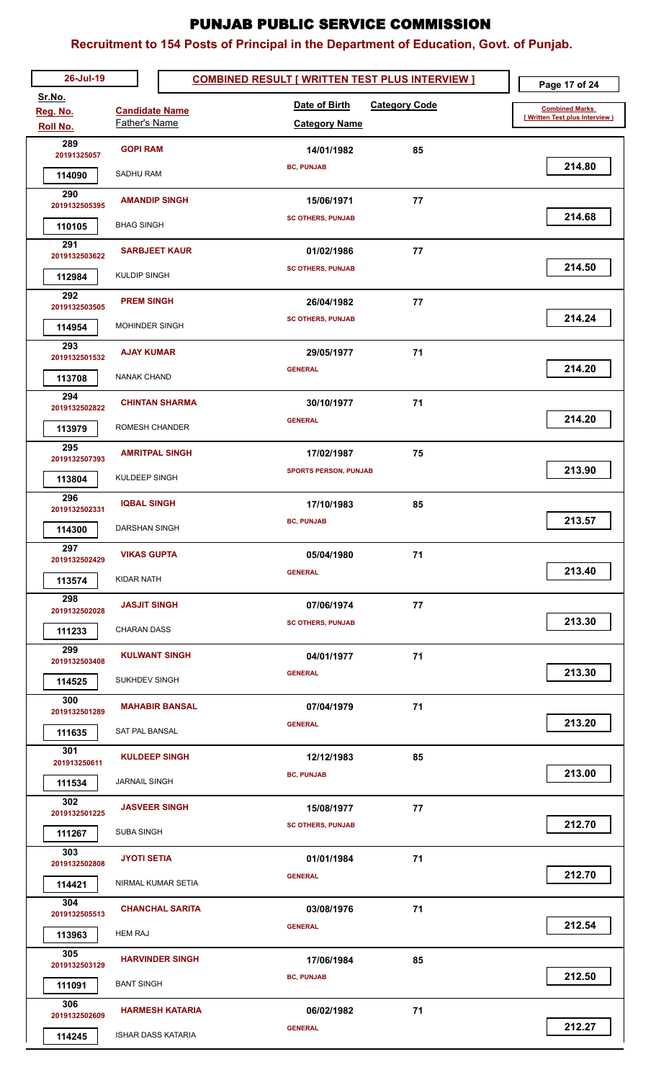| 26-Jul-19               |                        | <b>COMBINED RESULT [ WRITTEN TEST PLUS INTERVIEW ]</b> | Page 17 of 24                  |
|-------------------------|------------------------|--------------------------------------------------------|--------------------------------|
| Sr.No.                  | <b>Candidate Name</b>  | Date of Birth<br><b>Category Code</b>                  | <b>Combined Marks</b>          |
| Reg. No.<br>Roll No.    | Father's Name          | <b>Category Name</b>                                   | [Written Test plus Interview ] |
| 289                     | <b>GOPI RAM</b>        | 85                                                     |                                |
| 20191325057             |                        | 14/01/1982<br><b>BC, PUNJAB</b>                        | 214.80                         |
| 114090                  | SADHU RAM              |                                                        |                                |
| 290<br>2019132505395    | <b>AMANDIP SINGH</b>   | 77<br>15/06/1971                                       |                                |
| 110105                  | <b>BHAG SINGH</b>      | <b>SC OTHERS, PUNJAB</b>                               | 214.68                         |
| 291                     | <b>SARBJEET KAUR</b>   | 77<br>01/02/1986                                       |                                |
| 2019132503622           |                        | <b>SC OTHERS, PUNJAB</b>                               | 214.50                         |
| 112984                  | <b>KULDIP SINGH</b>    |                                                        |                                |
| 292<br>2019132503505    | <b>PREM SINGH</b>      | 77<br>26/04/1982                                       |                                |
| 114954                  | <b>MOHINDER SINGH</b>  | <b>SC OTHERS, PUNJAB</b>                               | 214.24                         |
| 293<br>2019132501532    | <b>AJAY KUMAR</b>      | 29/05/1977<br>71                                       |                                |
| 113708                  | <b>NANAK CHAND</b>     | <b>GENERAL</b>                                         | 214.20                         |
| 294                     | <b>CHINTAN SHARMA</b>  | 71<br>30/10/1977                                       |                                |
| 2019132502822<br>113979 | ROMESH CHANDER         | <b>GENERAL</b>                                         | 214.20                         |
| 295                     |                        |                                                        |                                |
| 2019132507393           | <b>AMRITPAL SINGH</b>  | 75<br>17/02/1987<br><b>SPORTS PERSON, PUNJAB</b>       | 213.90                         |
| 113804                  | KULDEEP SINGH          |                                                        |                                |
| 296<br>2019132502331    | <b>IQBAL SINGH</b>     | 17/10/1983<br>85                                       |                                |
| 114300                  | DARSHAN SINGH          | <b>BC, PUNJAB</b>                                      | 213.57                         |
| 297<br>2019132502429    | <b>VIKAS GUPTA</b>     | 05/04/1980<br>71                                       |                                |
| 113574                  | KIDAR NATH             | <b>GENERAL</b>                                         | 213.40                         |
| 298                     | <b>JASJIT SINGH</b>    | 77<br>07/06/1974                                       |                                |
| 2019132502028           | <b>CHARAN DASS</b>     | <b>SC OTHERS, PUNJAB</b>                               | 213.30                         |
| 111233<br>299           |                        |                                                        |                                |
| 2019132503408           | <b>KULWANT SINGH</b>   | 71<br>04/01/1977                                       | 213.30                         |
| 114525                  | SUKHDEV SINGH          | <b>GENERAL</b>                                         |                                |
| 300<br>2019132501289    | <b>MAHABIR BANSAL</b>  | 71<br>07/04/1979                                       |                                |
| 111635                  | SAT PAL BANSAL         | <b>GENERAL</b>                                         | 213.20                         |
| 301                     | <b>KULDEEP SINGH</b>   | 12/12/1983<br>85                                       |                                |
| 201913250611            | <b>JARNAIL SINGH</b>   | <b>BC, PUNJAB</b>                                      | 213.00                         |
| 111534<br>302           |                        |                                                        |                                |
| 2019132501225           | <b>JASVEER SINGH</b>   | 77<br>15/08/1977<br><b>SC OTHERS, PUNJAB</b>           | 212.70                         |
| 111267                  | <b>SUBA SINGH</b>      |                                                        |                                |
| 303<br>2019132502808    | <b>JYOTI SETIA</b>     | 71<br>01/01/1984                                       |                                |
| 114421                  | NIRMAL KUMAR SETIA     | <b>GENERAL</b>                                         | 212.70                         |
| 304<br>2019132505513    | <b>CHANCHAL SARITA</b> | 03/08/1976<br>71                                       |                                |
| 113963                  | <b>HEM RAJ</b>         | <b>GENERAL</b>                                         | 212.54                         |
| 305                     | <b>HARVINDER SINGH</b> | 17/06/1984<br>85                                       |                                |
| 2019132503129<br>111091 | <b>BANT SINGH</b>      | <b>BC, PUNJAB</b>                                      | 212.50                         |
| 306                     |                        |                                                        |                                |
| 2019132502609           | <b>HARMESH KATARIA</b> | 06/02/1982<br>71<br><b>GENERAL</b>                     | 212.27                         |
| 114245                  | ISHAR DASS KATARIA     |                                                        |                                |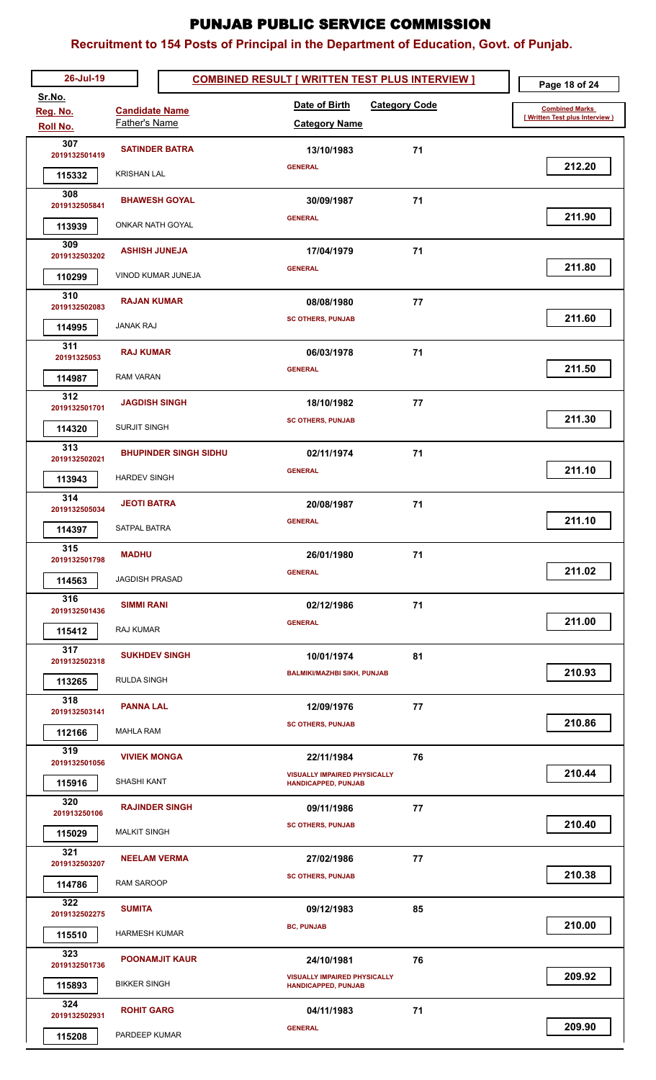| 26-Jul-19            |                                        | <b>COMBINED RESULT [ WRITTEN TEST PLUS INTERVIEW ]</b>            | Page 18 of 24                   |
|----------------------|----------------------------------------|-------------------------------------------------------------------|---------------------------------|
| Sr.No.               |                                        | Date of Birth<br><b>Category Code</b>                             | <b>Combined Marks</b>           |
| Reg. No.<br>Roll No. | <b>Candidate Name</b><br>Father's Name | <b>Category Name</b>                                              | [ Written Test plus Interview ) |
| 307                  | <b>SATINDER BATRA</b>                  | 71<br>13/10/1983                                                  |                                 |
| 2019132501419        |                                        | <b>GENERAL</b>                                                    | 212.20                          |
| 115332               | <b>KRISHAN LAL</b>                     |                                                                   |                                 |
| 308<br>2019132505841 | <b>BHAWESH GOYAL</b>                   | 30/09/1987<br>71                                                  |                                 |
| 113939               | <b>ONKAR NATH GOYAL</b>                | <b>GENERAL</b>                                                    | 211.90                          |
| 309                  | <b>ASHISH JUNEJA</b>                   |                                                                   |                                 |
| 2019132503202        |                                        | 71<br>17/04/1979<br><b>GENERAL</b>                                | 211.80                          |
| 110299               | VINOD KUMAR JUNEJA                     |                                                                   |                                 |
| 310<br>2019132502083 | <b>RAJAN KUMAR</b>                     | 08/08/1980<br>77                                                  |                                 |
| 114995               | <b>JANAK RAJ</b>                       | <b>SC OTHERS, PUNJAB</b>                                          | 211.60                          |
| 311                  | <b>RAJ KUMAR</b>                       | 06/03/1978<br>71                                                  |                                 |
| 20191325053          |                                        | <b>GENERAL</b>                                                    | 211.50                          |
| 114987               | <b>RAM VARAN</b>                       |                                                                   |                                 |
| 312<br>2019132501701 | <b>JAGDISH SINGH</b>                   | 18/10/1982<br>77                                                  |                                 |
| 114320               | <b>SURJIT SINGH</b>                    | <b>SC OTHERS, PUNJAB</b>                                          | 211.30                          |
| 313                  | <b>BHUPINDER SINGH SIDHU</b>           | 71<br>02/11/1974                                                  |                                 |
| 2019132502021        |                                        | <b>GENERAL</b>                                                    | 211.10                          |
| 113943               | <b>HARDEV SINGH</b>                    |                                                                   |                                 |
| 314<br>2019132505034 | <b>JEOTI BATRA</b>                     | 20/08/1987<br>71                                                  |                                 |
| 114397               | SATPAL BATRA                           | <b>GENERAL</b>                                                    | 211.10                          |
| 315                  | <b>MADHU</b>                           | 26/01/1980<br>71                                                  |                                 |
| 2019132501798        |                                        | <b>GENERAL</b>                                                    | 211.02                          |
| 114563               | <b>JAGDISH PRASAD</b>                  |                                                                   |                                 |
| 316<br>2019132501436 | <b>SIMMI RANI</b>                      | 71<br>02/12/1986                                                  |                                 |
| 115412               | <b>RAJ KUMAR</b>                       | <b>GENERAL</b>                                                    | 211.00                          |
| 317                  | <b>SUKHDEV SINGH</b>                   | 81<br>10/01/1974                                                  |                                 |
| 2019132502318        |                                        | <b>BALMIKI/MAZHBI SIKH, PUNJAB</b>                                | 210.93                          |
| 113265<br>318        | <b>RULDA SINGH</b>                     |                                                                   |                                 |
| 2019132503141        | <b>PANNA LAL</b>                       | 77<br>12/09/1976                                                  |                                 |
| 112166               | <b>MAHLA RAM</b>                       | <b>SC OTHERS, PUNJAB</b>                                          | 210.86                          |
| 319                  | <b>VIVIEK MONGA</b>                    | 76<br>22/11/1984                                                  |                                 |
| 2019132501056        | SHASHI KANT                            | <b>VISUALLY IMPAIRED PHYSICALLY</b>                               | 210.44                          |
| 115916<br>320        |                                        | <b>HANDICAPPED, PUNJAB</b>                                        |                                 |
| 201913250106         | <b>RAJINDER SINGH</b>                  | 77<br>09/11/1986                                                  | 210.40                          |
| 115029               | <b>MALKIT SINGH</b>                    | <b>SC OTHERS, PUNJAB</b>                                          |                                 |
| 321<br>2019132503207 | <b>NEELAM VERMA</b>                    | 77<br>27/02/1986                                                  |                                 |
| 114786               | <b>RAM SAROOP</b>                      | <b>SC OTHERS, PUNJAB</b>                                          | 210.38                          |
| 322                  |                                        |                                                                   |                                 |
| 2019132502275        | <b>SUMITA</b>                          | 09/12/1983<br>85<br><b>BC, PUNJAB</b>                             | 210.00                          |
| 115510               | <b>HARMESH KUMAR</b>                   |                                                                   |                                 |
| 323<br>2019132501736 | <b>POONAMJIT KAUR</b>                  | 24/10/1981<br>76                                                  |                                 |
| 115893               | <b>BIKKER SINGH</b>                    | <b>VISUALLY IMPAIRED PHYSICALLY</b><br><b>HANDICAPPED, PUNJAB</b> | 209.92                          |
| 324                  | <b>ROHIT GARG</b>                      | 04/11/1983<br>71                                                  |                                 |
| 2019132502931        |                                        | <b>GENERAL</b>                                                    | 209.90                          |
| 115208               | PARDEEP KUMAR                          |                                                                   |                                 |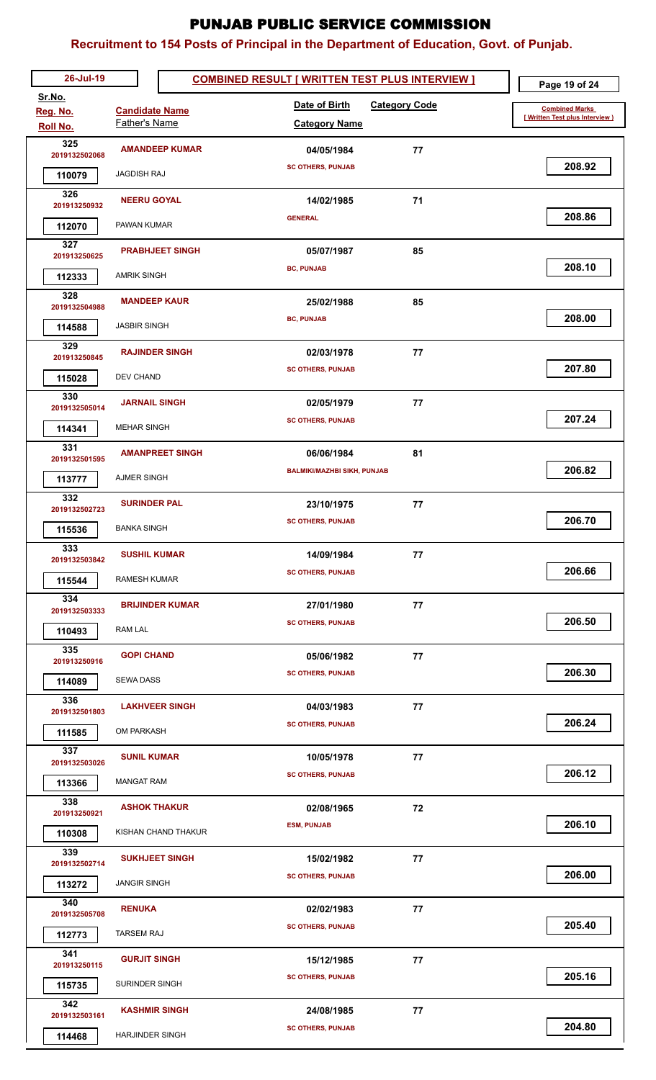| 26-Jul-19            |                        | <b>COMBINED RESULT [ WRITTEN TEST PLUS INTERVIEW ]</b> | Page 19 of 24                  |
|----------------------|------------------------|--------------------------------------------------------|--------------------------------|
| Sr.No.<br>Reg. No.   | <b>Candidate Name</b>  | Date of Birth<br><b>Category Code</b>                  | <b>Combined Marks</b>          |
| Roll No.             | Father's Name          | <b>Category Name</b>                                   | [Written Test plus Interview ] |
| 325                  | <b>AMANDEEP KUMAR</b>  | 04/05/1984<br>77                                       |                                |
| 2019132502068        |                        | <b>SC OTHERS, PUNJAB</b>                               | 208.92                         |
| 110079               | <b>JAGDISH RAJ</b>     |                                                        |                                |
| 326<br>201913250932  | <b>NEERU GOYAL</b>     | 71<br>14/02/1985                                       |                                |
| 112070               | PAWAN KUMAR            | <b>GENERAL</b>                                         | 208.86                         |
| 327<br>201913250625  | <b>PRABHJEET SINGH</b> | 85<br>05/07/1987                                       |                                |
| 112333               | <b>AMRIK SINGH</b>     | <b>BC, PUNJAB</b>                                      | 208.10                         |
| 328                  |                        |                                                        |                                |
| 2019132504988        | <b>MANDEEP KAUR</b>    | 85<br>25/02/1988<br><b>BC, PUNJAB</b>                  | 208.00                         |
| 114588               | <b>JASBIR SINGH</b>    |                                                        |                                |
| 329<br>201913250845  | <b>RAJINDER SINGH</b>  | 02/03/1978<br>77                                       |                                |
| 115028               | DEV CHAND              | <b>SC OTHERS, PUNJAB</b>                               | 207.80                         |
| 330                  | <b>JARNAIL SINGH</b>   |                                                        |                                |
| 2019132505014        |                        | 77<br>02/05/1979<br><b>SC OTHERS, PUNJAB</b>           | 207.24                         |
| 114341               | <b>MEHAR SINGH</b>     |                                                        |                                |
| 331<br>2019132501595 | <b>AMANPREET SINGH</b> | 81<br>06/06/1984                                       |                                |
| 113777               | AJMER SINGH            | <b>BALMIKI/MAZHBI SIKH, PUNJAB</b>                     | 206.82                         |
| 332                  | <b>SURINDER PAL</b>    | 77<br>23/10/1975                                       |                                |
| 2019132502723        |                        | <b>SC OTHERS, PUNJAB</b>                               | 206.70                         |
| 115536               | <b>BANKA SINGH</b>     |                                                        |                                |
| 333<br>2019132503842 | <b>SUSHIL KUMAR</b>    | 14/09/1984<br>77                                       |                                |
| 115544               | <b>RAMESH KUMAR</b>    | <b>SC OTHERS, PUNJAB</b>                               | 206.66                         |
| 334<br>2019132503333 | <b>BRIJINDER KUMAR</b> | 77<br>27/01/1980                                       |                                |
| 110493               | <b>RAM LAL</b>         | <b>SC OTHERS, PUNJAB</b>                               | 206.50                         |
| 335                  |                        |                                                        |                                |
| 201913250916         | <b>GOPI CHAND</b>      | 77<br>05/06/1982<br><b>SC OTHERS, PUNJAB</b>           | 206.30                         |
| 114089               | <b>SEWA DASS</b>       |                                                        |                                |
| 336<br>2019132501803 | <b>LAKHVEER SINGH</b>  | 04/03/1983<br>77                                       |                                |
| 111585               | <b>OM PARKASH</b>      | <b>SC OTHERS, PUNJAB</b>                               | 206.24                         |
| 337                  |                        |                                                        |                                |
| 2019132503026        | <b>SUNIL KUMAR</b>     | 10/05/1978<br>77<br><b>SC OTHERS, PUNJAB</b>           | 206.12                         |
| 113366               | <b>MANGAT RAM</b>      |                                                        |                                |
| 338<br>201913250921  | <b>ASHOK THAKUR</b>    | 72<br>02/08/1965                                       |                                |
| 110308               | KISHAN CHAND THAKUR    | <b>ESM, PUNJAB</b>                                     | 206.10                         |
| 339                  | <b>SUKHJEET SINGH</b>  | 77<br>15/02/1982                                       |                                |
| 2019132502714        |                        | <b>SC OTHERS, PUNJAB</b>                               | 206.00                         |
| 113272<br>340        | <b>JANGIR SINGH</b>    |                                                        |                                |
| 2019132505708        | <b>RENUKA</b>          | 02/02/1983<br>77                                       |                                |
| 112773               | <b>TARSEM RAJ</b>      | <b>SC OTHERS, PUNJAB</b>                               | 205.40                         |
| 341<br>201913250115  | <b>GURJIT SINGH</b>    | 15/12/1985<br>77                                       |                                |
| 115735               | SURINDER SINGH         | <b>SC OTHERS, PUNJAB</b>                               | 205.16                         |
| 342                  |                        |                                                        |                                |
| 2019132503161        | <b>KASHMIR SINGH</b>   | 24/08/1985<br>77<br><b>SC OTHERS, PUNJAB</b>           | 204.80                         |
| 114468               | <b>HARJINDER SINGH</b> |                                                        |                                |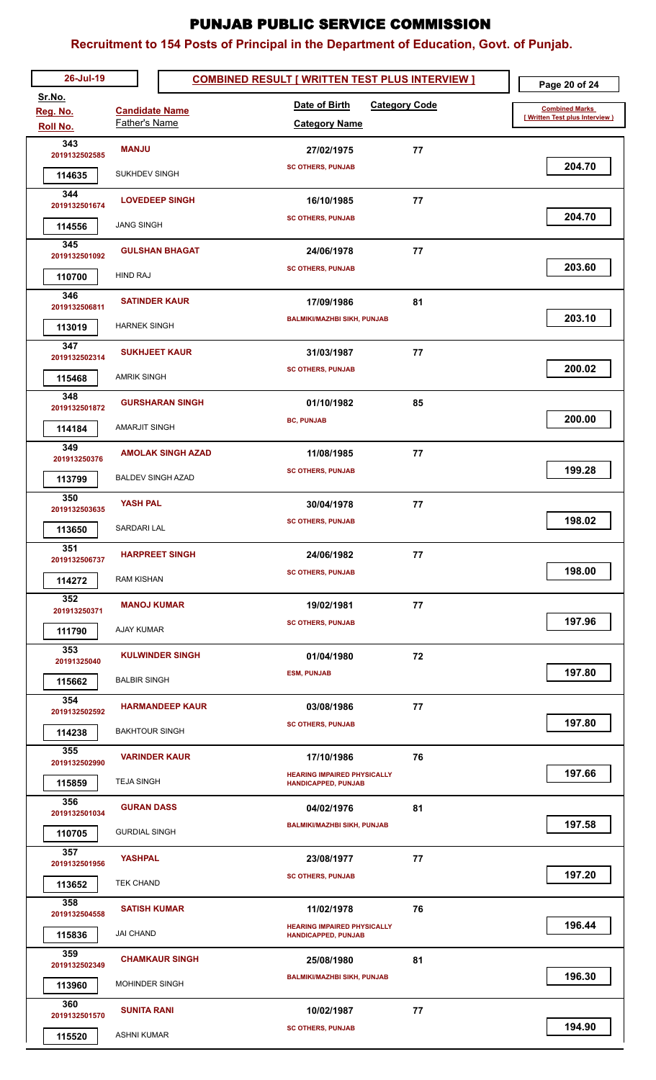| 26-Jul-19            |                          | <b>COMBINED RESULT [ WRITTEN TEST PLUS INTERVIEW ]</b>           |    | Page 20 of 24                   |
|----------------------|--------------------------|------------------------------------------------------------------|----|---------------------------------|
| Sr.No.               | <b>Candidate Name</b>    | Date of Birth<br><b>Category Code</b>                            |    | <b>Combined Marks</b>           |
| Reg. No.<br>Roll No. | Father's Name            | <b>Category Name</b>                                             |    | [ Written Test plus Interview ) |
| 343                  | <b>MANJU</b>             | 27/02/1975                                                       | 77 |                                 |
| 2019132502585        | SUKHDEV SINGH            | <b>SC OTHERS, PUNJAB</b>                                         |    | 204.70                          |
| 114635<br>344        |                          |                                                                  |    |                                 |
| 2019132501674        | <b>LOVEDEEP SINGH</b>    | 16/10/1985                                                       | 77 | 204.70                          |
| 114556               | <b>JANG SINGH</b>        | <b>SC OTHERS, PUNJAB</b>                                         |    |                                 |
| 345<br>2019132501092 | <b>GULSHAN BHAGAT</b>    | 24/06/1978                                                       | 77 |                                 |
| 110700               | <b>HIND RAJ</b>          | <b>SC OTHERS, PUNJAB</b>                                         |    | 203.60                          |
| 346                  | <b>SATINDER KAUR</b>     | 17/09/1986                                                       | 81 |                                 |
| 2019132506811        |                          | <b>BALMIKI/MAZHBI SIKH, PUNJAB</b>                               |    | 203.10                          |
| 113019               | <b>HARNEK SINGH</b>      |                                                                  |    |                                 |
| 347<br>2019132502314 | <b>SUKHJEET KAUR</b>     | 31/03/1987                                                       | 77 |                                 |
| 115468               | <b>AMRIK SINGH</b>       | <b>SC OTHERS, PUNJAB</b>                                         |    | 200.02                          |
| 348                  | <b>GURSHARAN SINGH</b>   | 01/10/1982                                                       | 85 |                                 |
| 2019132501872        | AMARJIT SINGH            | <b>BC, PUNJAB</b>                                                |    | 200.00                          |
| 114184<br>349        |                          |                                                                  |    |                                 |
| 201913250376         | <b>AMOLAK SINGH AZAD</b> | 11/08/1985                                                       | 77 | 199.28                          |
| 113799               | <b>BALDEV SINGH AZAD</b> | <b>SC OTHERS, PUNJAB</b>                                         |    |                                 |
| 350<br>2019132503635 | <b>YASH PAL</b>          | 30/04/1978                                                       | 77 |                                 |
| 113650               | SARDARI LAL              | <b>SC OTHERS, PUNJAB</b>                                         |    | 198.02                          |
| 351                  | <b>HARPREET SINGH</b>    | 24/06/1982                                                       | 77 |                                 |
| 2019132506737        |                          | <b>SC OTHERS, PUNJAB</b>                                         |    | 198.00                          |
| 114272               | RAM KISHAN               |                                                                  |    |                                 |
| 352<br>201913250371  | <b>MANOJ KUMAR</b>       | 19/02/1981                                                       | 77 |                                 |
| 111790               | AJAY KUMAR               | <b>SC OTHERS, PUNJAB</b>                                         |    | 197.96                          |
| 353<br>20191325040   | <b>KULWINDER SINGH</b>   | 01/04/1980                                                       | 72 |                                 |
| 115662               | <b>BALBIR SINGH</b>      | <b>ESM, PUNJAB</b>                                               |    | 197.80                          |
| 354                  |                          |                                                                  |    |                                 |
| 2019132502592        | <b>HARMANDEEP KAUR</b>   | 03/08/1986<br><b>SC OTHERS, PUNJAB</b>                           | 77 | 197.80                          |
| 114238               | <b>BAKHTOUR SINGH</b>    |                                                                  |    |                                 |
| 355<br>2019132502990 | <b>VARINDER KAUR</b>     | 17/10/1986                                                       | 76 |                                 |
| 115859               | <b>TEJA SINGH</b>        | <b>HEARING IMPAIRED PHYSICALLY</b><br><b>HANDICAPPED, PUNJAB</b> |    | 197.66                          |
| 356                  | <b>GURAN DASS</b>        | 04/02/1976                                                       | 81 |                                 |
| 2019132501034        |                          | <b>BALMIKI/MAZHBI SIKH, PUNJAB</b>                               |    | 197.58                          |
| 110705               | <b>GURDIAL SINGH</b>     |                                                                  |    |                                 |
| 357<br>2019132501956 | <b>YASHPAL</b>           | 23/08/1977                                                       | 77 |                                 |
| 113652               | <b>TEK CHAND</b>         | <b>SC OTHERS, PUNJAB</b>                                         |    | 197.20                          |
| 358<br>2019132504558 | <b>SATISH KUMAR</b>      | 11/02/1978                                                       | 76 |                                 |
| 115836               | JAI CHAND                | <b>HEARING IMPAIRED PHYSICALLY</b><br><b>HANDICAPPED, PUNJAB</b> |    | 196.44                          |
| 359                  |                          |                                                                  |    |                                 |
| 2019132502349        | <b>CHAMKAUR SINGH</b>    | 25/08/1980<br><b>BALMIKI/MAZHBI SIKH, PUNJAB</b>                 | 81 | 196.30                          |
| 113960               | MOHINDER SINGH           |                                                                  |    |                                 |
| 360<br>2019132501570 | <b>SUNITA RANI</b>       | 10/02/1987                                                       | 77 |                                 |
| 115520               | <b>ASHNI KUMAR</b>       | <b>SC OTHERS, PUNJAB</b>                                         |    | 194.90                          |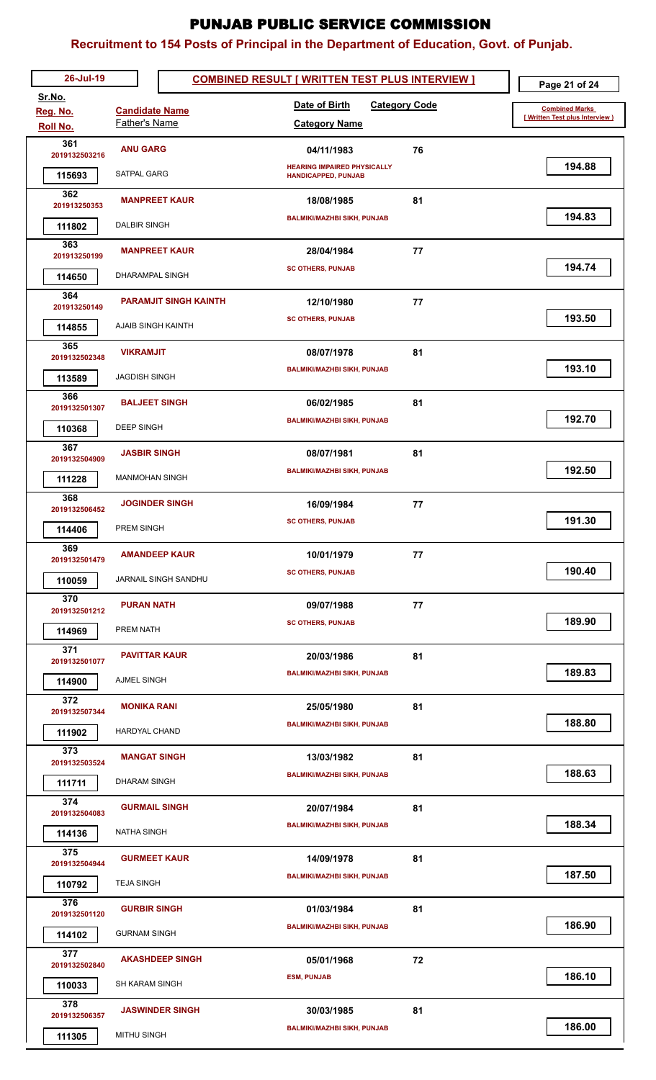| 26-Jul-19               |                              | <b>COMBINED RESULT [ WRITTEN TEST PLUS INTERVIEW ]</b> | Page 21 of 24                  |
|-------------------------|------------------------------|--------------------------------------------------------|--------------------------------|
| Sr.No.<br>Reg. No.      | <b>Candidate Name</b>        | Date of Birth<br><b>Category Code</b>                  | <b>Combined Marks</b>          |
| <b>Roll No.</b>         | <b>Father's Name</b>         | <b>Category Name</b>                                   | [Written Test plus Interview ] |
| 361                     | <b>ANU GARG</b>              | 76<br>04/11/1983                                       |                                |
| 2019132503216           | SATPAL GARG                  | <b>HEARING IMPAIRED PHYSICALLY</b>                     | 194.88                         |
| 115693<br>362           |                              | <b>HANDICAPPED, PUNJAB</b>                             |                                |
| 201913250353            | <b>MANPREET KAUR</b>         | 81<br>18/08/1985                                       |                                |
| 111802                  | <b>DALBIR SINGH</b>          | <b>BALMIKI/MAZHBI SIKH, PUNJAB</b>                     | 194.83                         |
| 363<br>201913250199     | <b>MANPREET KAUR</b>         | 77<br>28/04/1984                                       |                                |
| 114650                  | DHARAMPAL SINGH              | <b>SC OTHERS, PUNJAB</b>                               | 194.74                         |
| 364                     | <b>PARAMJIT SINGH KAINTH</b> | 77<br>12/10/1980                                       |                                |
| 201913250149            |                              | <b>SC OTHERS, PUNJAB</b>                               | 193.50                         |
| 114855                  | AJAIB SINGH KAINTH           |                                                        |                                |
| 365<br>2019132502348    | <b>VIKRAMJIT</b>             | 08/07/1978<br>81                                       |                                |
| 113589                  | <b>JAGDISH SINGH</b>         | <b>BALMIKI/MAZHBI SIKH, PUNJAB</b>                     | 193.10                         |
| 366                     | <b>BALJEET SINGH</b>         | 81<br>06/02/1985                                       |                                |
| 2019132501307           | <b>DEEP SINGH</b>            | <b>BALMIKI/MAZHBI SIKH, PUNJAB</b>                     | 192.70                         |
| 110368<br>367           |                              |                                                        |                                |
| 2019132504909           | <b>JASBIR SINGH</b>          | 81<br>08/07/1981                                       |                                |
| 111228                  | <b>MANMOHAN SINGH</b>        | <b>BALMIKI/MAZHBI SIKH, PUNJAB</b>                     | 192.50                         |
| 368<br>2019132506452    | <b>JOGINDER SINGH</b>        | 77<br>16/09/1984                                       |                                |
| 114406                  | PREM SINGH                   | <b>SC OTHERS, PUNJAB</b>                               | 191.30                         |
| 369                     | <b>AMANDEEP KAUR</b>         | 10/01/1979<br>77                                       |                                |
| 2019132501479           |                              | <b>SC OTHERS, PUNJAB</b>                               | 190.40                         |
| 110059                  | JARNAIL SINGH SANDHU         |                                                        |                                |
| 370<br>2019132501212    | <b>PURAN NATH</b>            | 77<br>09/07/1988                                       |                                |
| 114969                  | PREM NATH                    | <b>SC OTHERS, PUNJAB</b>                               | 189.90                         |
| 371                     | <b>PAVITTAR KAUR</b>         | 81<br>20/03/1986                                       |                                |
| 2019132501077<br>114900 | <b>AJMEL SINGH</b>           | <b>BALMIKI/MAZHBI SIKH, PUNJAB</b>                     | 189.83                         |
| 372                     |                              |                                                        |                                |
| 2019132507344           | <b>MONIKA RANI</b>           | 81<br>25/05/1980<br><b>BALMIKI/MAZHBI SIKH, PUNJAB</b> | 188.80                         |
| 111902                  | HARDYAL CHAND                |                                                        |                                |
| 373<br>2019132503524    | <b>MANGAT SINGH</b>          | 81<br>13/03/1982                                       |                                |
| 111711                  | <b>DHARAM SINGH</b>          | <b>BALMIKI/MAZHBI SIKH, PUNJAB</b>                     | 188.63                         |
| 374                     | <b>GURMAIL SINGH</b>         | 81<br>20/07/1984                                       |                                |
| 2019132504083           |                              | <b>BALMIKI/MAZHBI SIKH, PUNJAB</b>                     | 188.34                         |
| 114136<br>375           | <b>NATHA SINGH</b>           |                                                        |                                |
| 2019132504944           | <b>GURMEET KAUR</b>          | 14/09/1978<br>81                                       |                                |
| 110792                  | <b>TEJA SINGH</b>            | <b>BALMIKI/MAZHBI SIKH, PUNJAB</b>                     | 187.50                         |
| 376<br>2019132501120    | <b>GURBIR SINGH</b>          | 81<br>01/03/1984                                       |                                |
| 114102                  | <b>GURNAM SINGH</b>          | <b>BALMIKI/MAZHBI SIKH, PUNJAB</b>                     | 186.90                         |
| 377                     | <b>AKASHDEEP SINGH</b>       |                                                        |                                |
| 2019132502840           |                              | 72<br>05/01/1968<br><b>ESM, PUNJAB</b>                 | 186.10                         |
| 110033                  | <b>SH KARAM SINGH</b>        |                                                        |                                |
| 378<br>2019132506357    | <b>JASWINDER SINGH</b>       | 81<br>30/03/1985                                       |                                |
| 111305                  | MITHU SINGH                  | <b>BALMIKI/MAZHBI SIKH, PUNJAB</b>                     | 186.00                         |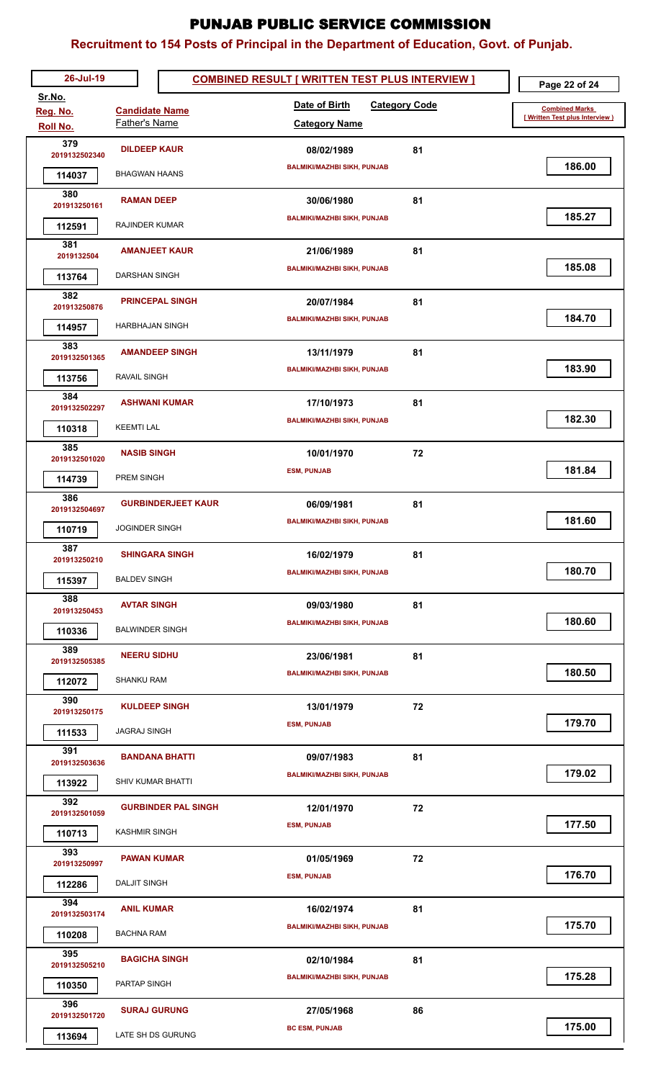| 26-Jul-19               |                                        | <b>COMBINED RESULT [ WRITTEN TEST PLUS INTERVIEW ]</b> | Page 22 of 24                   |
|-------------------------|----------------------------------------|--------------------------------------------------------|---------------------------------|
| Sr.No.                  |                                        | Date of Birth<br><b>Category Code</b>                  | <b>Combined Marks</b>           |
| Reg. No.<br>Roll No.    | <b>Candidate Name</b><br>Father's Name | <b>Category Name</b>                                   | [ Written Test plus Interview ] |
| 379                     | <b>DILDEEP KAUR</b>                    | 81<br>08/02/1989                                       |                                 |
| 2019132502340           |                                        | <b>BALMIKI/MAZHBI SIKH, PUNJAB</b>                     | 186.00                          |
| 114037                  | BHAGWAN HAANS                          |                                                        |                                 |
| 380<br>201913250161     | <b>RAMAN DEEP</b>                      | 30/06/1980<br>81                                       |                                 |
| 112591                  | RAJINDER KUMAR                         | <b>BALMIKI/MAZHBI SIKH, PUNJAB</b>                     | 185.27                          |
| 381                     | <b>AMANJEET KAUR</b>                   | 81<br>21/06/1989                                       |                                 |
| 2019132504              |                                        | <b>BALMIKI/MAZHBI SIKH, PUNJAB</b>                     | 185.08                          |
| 113764                  | DARSHAN SINGH                          |                                                        |                                 |
| 382<br>201913250876     | <b>PRINCEPAL SINGH</b>                 | 81<br>20/07/1984                                       |                                 |
| 114957                  | <b>HARBHAJAN SINGH</b>                 | <b>BALMIKI/MAZHBI SIKH, PUNJAB</b>                     | 184.70                          |
| 383                     | <b>AMANDEEP SINGH</b>                  | 81<br>13/11/1979                                       |                                 |
| 2019132501365           |                                        | <b>BALMIKI/MAZHBI SIKH, PUNJAB</b>                     | 183.90                          |
| 113756                  | RAVAIL SINGH                           |                                                        |                                 |
| 384<br>2019132502297    | <b>ASHWANI KUMAR</b>                   | 17/10/1973<br>81                                       |                                 |
| 110318                  | <b>KEEMTI LAL</b>                      | <b>BALMIKI/MAZHBI SIKH, PUNJAB</b>                     | 182.30                          |
| 385                     | <b>NASIB SINGH</b>                     | 72<br>10/01/1970                                       |                                 |
| 2019132501020           |                                        | <b>ESM, PUNJAB</b>                                     | 181.84                          |
| 114739<br>386           | PREM SINGH                             |                                                        |                                 |
| 2019132504697           | <b>GURBINDERJEET KAUR</b>              | 06/09/1981<br>81                                       |                                 |
| 110719                  | <b>JOGINDER SINGH</b>                  | <b>BALMIKI/MAZHBI SIKH, PUNJAB</b>                     | 181.60                          |
| 387                     | <b>SHINGARA SINGH</b>                  | 16/02/1979<br>81                                       |                                 |
| 201913250210            | <b>BALDEV SINGH</b>                    | <b>BALMIKI/MAZHBI SIKH, PUNJAB</b>                     | 180.70                          |
| 115397<br>388           |                                        |                                                        |                                 |
| 201913250453            | <b>AVTAR SINGH</b>                     | 81<br>09/03/1980                                       |                                 |
| 110336                  | <b>BALWINDER SINGH</b>                 | <b>BALMIKI/MAZHBI SIKH, PUNJAB</b>                     | 180.60                          |
| 389<br>2019132505385    | <b>NEERU SIDHU</b>                     | 81<br>23/06/1981                                       |                                 |
| 112072                  | <b>SHANKU RAM</b>                      | <b>BALMIKI/MAZHBI SIKH, PUNJAB</b>                     | 180.50                          |
| 390                     |                                        |                                                        |                                 |
| 201913250175            | <b>KULDEEP SINGH</b>                   | 13/01/1979<br>72<br><b>ESM, PUNJAB</b>                 | 179.70                          |
| 111533                  | <b>JAGRAJ SINGH</b>                    |                                                        |                                 |
| 391<br>2019132503636    | <b>BANDANA BHATTI</b>                  | 81<br>09/07/1983                                       |                                 |
| 113922                  | <b>SHIV KUMAR BHATTI</b>               | <b>BALMIKI/MAZHBI SIKH, PUNJAB</b>                     | 179.02                          |
| 392                     |                                        |                                                        |                                 |
| 2019132501059           | <b>GURBINDER PAL SINGH</b>             | 72<br>12/01/1970<br><b>ESM, PUNJAB</b>                 | 177.50                          |
| 110713                  | <b>KASHMIR SINGH</b>                   |                                                        |                                 |
| 393<br>201913250997     | <b>PAWAN KUMAR</b>                     | 72<br>01/05/1969                                       |                                 |
| 112286                  | DALJIT SINGH                           | <b>ESM, PUNJAB</b>                                     | 176.70                          |
| 394                     | <b>ANIL KUMAR</b>                      | 81<br>16/02/1974                                       |                                 |
| 2019132503174           |                                        | <b>BALMIKI/MAZHBI SIKH, PUNJAB</b>                     | 175.70                          |
| 110208                  | BACHNA RAM                             |                                                        |                                 |
| 395<br>2019132505210    | <b>BAGICHA SINGH</b>                   | 81<br>02/10/1984                                       |                                 |
| 110350                  | PARTAP SINGH                           | <b>BALMIKI/MAZHBI SIKH, PUNJAB</b>                     | 175.28                          |
| 396                     | <b>SURAJ GURUNG</b>                    | 86<br>27/05/1968                                       |                                 |
| 2019132501720<br>113694 | LATE SH DS GURUNG                      | <b>BC ESM, PUNJAB</b>                                  | 175.00                          |
|                         |                                        |                                                        |                                 |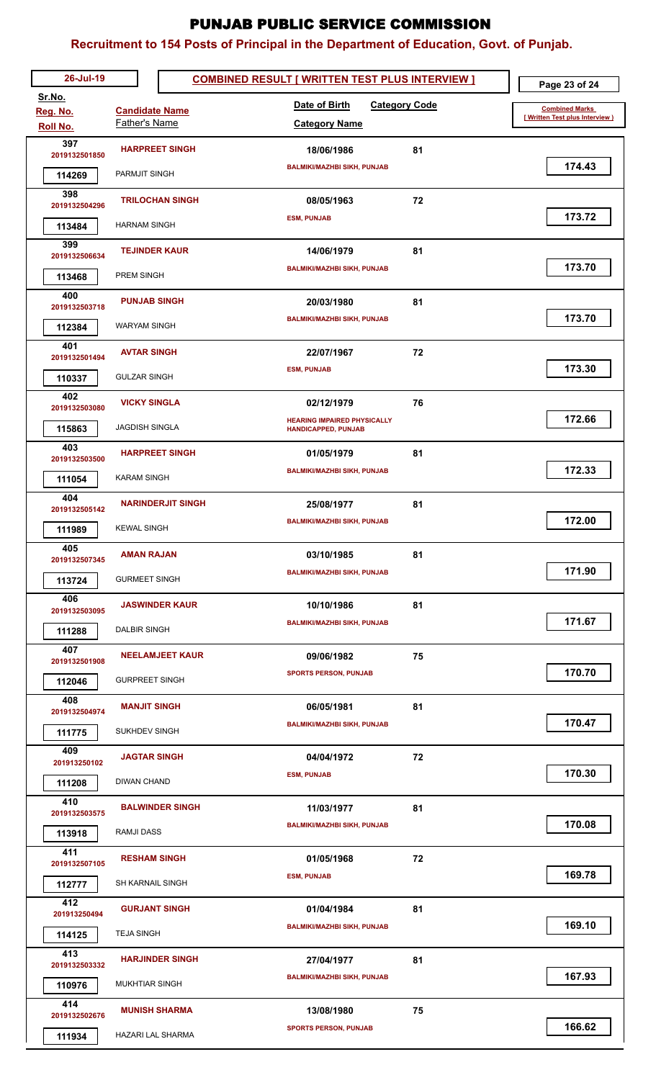| 26-Jul-19               |                          | <b>COMBINED RESULT [ WRITTEN TEST PLUS INTERVIEW ]</b> | Page 23 of 24                  |
|-------------------------|--------------------------|--------------------------------------------------------|--------------------------------|
| Sr.No.<br>Reg. No.      | <b>Candidate Name</b>    | Date of Birth<br><b>Category Code</b>                  | <b>Combined Marks</b>          |
| Roll No.                | Father's Name            | <b>Category Name</b>                                   | [Written Test plus Interview ] |
| 397<br>2019132501850    | <b>HARPREET SINGH</b>    | 81<br>18/06/1986                                       |                                |
| 114269                  | PARMJIT SINGH            | <b>BALMIKI/MAZHBI SIKH, PUNJAB</b>                     | 174.43                         |
| 398                     | <b>TRILOCHAN SINGH</b>   | 72<br>08/05/1963                                       |                                |
| 2019132504296           |                          | <b>ESM, PUNJAB</b>                                     | 173.72                         |
| 113484<br>399           | <b>HARNAM SINGH</b>      |                                                        |                                |
| 2019132506634           | <b>TEJINDER KAUR</b>     | 81<br>14/06/1979                                       | 173.70                         |
| 113468                  | PREM SINGH               | <b>BALMIKI/MAZHBI SIKH, PUNJAB</b>                     |                                |
| 400<br>2019132503718    | <b>PUNJAB SINGH</b>      | 81<br>20/03/1980                                       |                                |
| 112384                  | <b>WARYAM SINGH</b>      | <b>BALMIKI/MAZHBI SIKH, PUNJAB</b>                     | 173.70                         |
| 401                     | <b>AVTAR SINGH</b>       | 22/07/1967<br>72                                       |                                |
| 2019132501494<br>110337 | <b>GULZAR SINGH</b>      | <b>ESM, PUNJAB</b>                                     | 173.30                         |
| 402                     |                          |                                                        |                                |
| 2019132503080           | <b>VICKY SINGLA</b>      | 76<br>02/12/1979<br><b>HEARING IMPAIRED PHYSICALLY</b> | 172.66                         |
| 115863                  | <b>JAGDISH SINGLA</b>    | <b>HANDICAPPED, PUNJAB</b>                             |                                |
| 403<br>2019132503500    | <b>HARPREET SINGH</b>    | 81<br>01/05/1979                                       |                                |
| 111054                  | <b>KARAM SINGH</b>       | <b>BALMIKI/MAZHBI SIKH, PUNJAB</b>                     | 172.33                         |
| 404<br>2019132505142    | <b>NARINDERJIT SINGH</b> | 81<br>25/08/1977                                       |                                |
| 111989                  | <b>KEWAL SINGH</b>       | <b>BALMIKI/MAZHBI SIKH, PUNJAB</b>                     | 172.00                         |
| 405                     | <b>AMAN RAJAN</b>        | 81                                                     |                                |
| 2019132507345           |                          | 03/10/1985<br><b>BALMIKI/MAZHBI SIKH, PUNJAB</b>       | 171.90                         |
| 113724                  | <b>GURMEET SINGH</b>     |                                                        |                                |
| 406<br>2019132503095    | <b>JASWINDER KAUR</b>    | 81<br>10/10/1986                                       |                                |
| 111288                  | DALBIR SINGH             | <b>BALMIKI/MAZHBI SIKH, PUNJAB</b>                     | 171.67                         |
| 407<br>2019132501908    | <b>NEELAMJEET KAUR</b>   | 75<br>09/06/1982                                       |                                |
| 112046                  | <b>GURPREET SINGH</b>    | <b>SPORTS PERSON, PUNJAB</b>                           | 170.70                         |
| 408                     | <b>MANJIT SINGH</b>      | 81<br>06/05/1981                                       |                                |
| 2019132504974           |                          | <b>BALMIKI/MAZHBI SIKH, PUNJAB</b>                     | 170.47                         |
| 111775<br>409           | <b>SUKHDEV SINGH</b>     |                                                        |                                |
| 201913250102            | <b>JAGTAR SINGH</b>      | 72<br>04/04/1972<br><b>ESM, PUNJAB</b>                 | 170.30                         |
| 111208                  | <b>DIWAN CHAND</b>       |                                                        |                                |
| 410<br>2019132503575    | <b>BALWINDER SINGH</b>   | 81<br>11/03/1977                                       |                                |
| 113918                  | RAMJI DASS               | <b>BALMIKI/MAZHBI SIKH, PUNJAB</b>                     | 170.08                         |
| 411<br>2019132507105    | <b>RESHAM SINGH</b>      | 01/05/1968<br>72                                       |                                |
| 112777                  | <b>SH KARNAIL SINGH</b>  | <b>ESM, PUNJAB</b>                                     | 169.78                         |
| 412                     | <b>GURJANT SINGH</b>     |                                                        |                                |
| 201913250494            |                          | 81<br>01/04/1984<br><b>BALMIKI/MAZHBI SIKH, PUNJAB</b> | 169.10                         |
| 114125                  | <b>TEJA SINGH</b>        |                                                        |                                |
| 413<br>2019132503332    | <b>HARJINDER SINGH</b>   | 81<br>27/04/1977                                       |                                |
| 110976                  | <b>MUKHTIAR SINGH</b>    | <b>BALMIKI/MAZHBI SIKH, PUNJAB</b>                     | 167.93                         |
| 414<br>2019132502676    | <b>MUNISH SHARMA</b>     | 75<br>13/08/1980                                       |                                |
| 111934                  | HAZARI LAL SHARMA        | <b>SPORTS PERSON, PUNJAB</b>                           | 166.62                         |